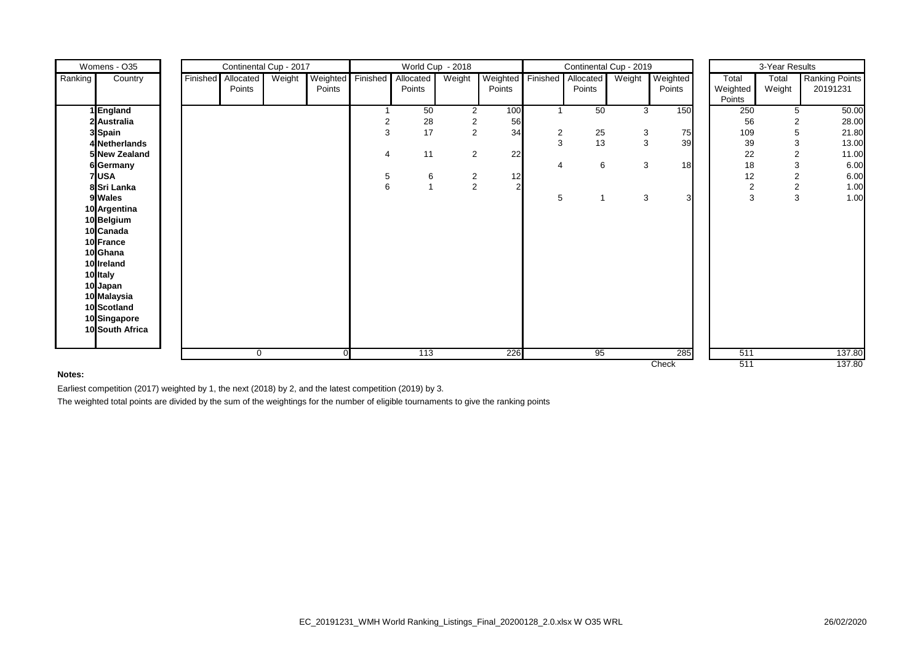| Womens - O35               |                              | Continental Cup - 2017 |                             |   |                     | World Cup - 2018 |                    |                | Continental Cup - 2019       |                           |                    |                             |             | 3-Year Results            |                                   |
|----------------------------|------------------------------|------------------------|-----------------------------|---|---------------------|------------------|--------------------|----------------|------------------------------|---------------------------|--------------------|-----------------------------|-------------|---------------------------|-----------------------------------|
| Ranking<br>Country         | Finished Allocated<br>Points | Weight                 | Weighted Finished<br>Points |   | Allocated<br>Points | Weight           | Weighted<br>Points |                | Finished Allocated<br>Points | Weight                    | Weighted<br>Points | Total<br>Weighted<br>Points |             | Total<br>Weight           | <b>Ranking Points</b><br>20191231 |
| 1England                   |                              |                        |                             |   | 50                  | $\overline{2}$   | 100                |                | 50                           | 3                         | 150                |                             | 250         | 5                         | 50.00                             |
| 2 Australia                |                              |                        |                             | 2 | 28                  | $\overline{c}$   | 56                 |                |                              |                           |                    |                             | 56          | $\overline{2}$            | 28.00                             |
| 3Spain                     |                              |                        |                             | 3 | 17                  | $\overline{2}$   | 34                 | $\overline{2}$ | 25                           | 3                         | 75                 |                             | 109         | 5                         | 21.80                             |
| 4 Netherlands              |                              |                        |                             |   |                     |                  |                    | $\overline{3}$ | 13                           | 3                         | 39                 |                             | 39          | 3                         | 13.00                             |
| 5 New Zealand              |                              |                        |                             | 4 | 11                  | $\overline{2}$   | 22                 |                |                              |                           |                    |                             | 22          | 2                         | 11.00                             |
| 6 Germany                  |                              |                        |                             |   |                     |                  |                    | $\overline{4}$ | 6                            | $\ensuremath{\mathsf{3}}$ | 18                 |                             | 18          | $\ensuremath{\mathsf{3}}$ | 6.00                              |
| 7USA                       |                              |                        |                             | 5 | 6                   | $\overline{2}$   | 12                 |                |                              |                           |                    |                             | 12          | $\overline{2}$            | 6.00                              |
| 8 Sri Lanka                |                              |                        |                             | 6 |                     | $\overline{2}$   |                    |                |                              |                           |                    |                             | $\mathbf 2$ | $\sqrt{2}$                | 1.00                              |
| 9 Wales                    |                              |                        |                             |   |                     |                  |                    | 5              | $\overline{1}$               | 3                         | 31                 |                             | 3           | $\ensuremath{\mathsf{3}}$ | 1.00                              |
| 10 Argentina               |                              |                        |                             |   |                     |                  |                    |                |                              |                           |                    |                             |             |                           |                                   |
| 10 Belgium                 |                              |                        |                             |   |                     |                  |                    |                |                              |                           |                    |                             |             |                           |                                   |
| 10 Canada                  |                              |                        |                             |   |                     |                  |                    |                |                              |                           |                    |                             |             |                           |                                   |
| 10 France                  |                              |                        |                             |   |                     |                  |                    |                |                              |                           |                    |                             |             |                           |                                   |
| 10 Ghana                   |                              |                        |                             |   |                     |                  |                    |                |                              |                           |                    |                             |             |                           |                                   |
| 10 Ireland                 |                              |                        |                             |   |                     |                  |                    |                |                              |                           |                    |                             |             |                           |                                   |
| 10 Italy                   |                              |                        |                             |   |                     |                  |                    |                |                              |                           |                    |                             |             |                           |                                   |
| 10 Japan                   |                              |                        |                             |   |                     |                  |                    |                |                              |                           |                    |                             |             |                           |                                   |
| 10 Malaysia<br>10 Scotland |                              |                        |                             |   |                     |                  |                    |                |                              |                           |                    |                             |             |                           |                                   |
| 10 Singapore               |                              |                        |                             |   |                     |                  |                    |                |                              |                           |                    |                             |             |                           |                                   |
| 10 South Africa            |                              |                        |                             |   |                     |                  |                    |                |                              |                           |                    |                             |             |                           |                                   |
|                            |                              |                        |                             |   |                     |                  |                    |                |                              |                           |                    |                             |             |                           |                                   |
|                            | $\Omega$                     |                        | $\Omega$                    |   | 113                 |                  | 226                |                | 95                           |                           | 285                |                             | 511         |                           | 137.80                            |
|                            |                              |                        |                             |   |                     |                  |                    |                |                              |                           | Check              |                             | 511         |                           | 137.80                            |

Earliest competition (2017) weighted by 1, the next (2018) by 2, and the latest competition (2019) by 3.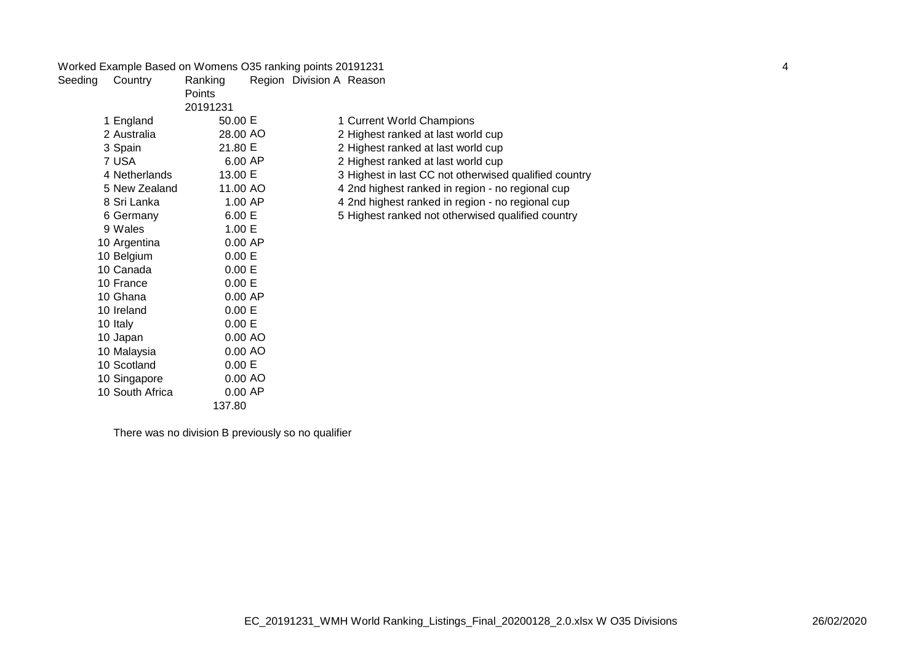| Worked Example Based on Womens O35 ranking points 20191231 |               |                          |                                                       | 4 |
|------------------------------------------------------------|---------------|--------------------------|-------------------------------------------------------|---|
| Seeding Country                                            | Ranking       | Region Division A Reason |                                                       |   |
|                                                            | <b>Points</b> |                          |                                                       |   |
|                                                            | 20191231      |                          |                                                       |   |
| 1 England                                                  | 50.00 E       |                          | 1 Current World Champions                             |   |
| 2 Australia                                                | 28.00 AO      |                          | 2 Highest ranked at last world cup                    |   |
| 3 Spain                                                    | 21.80 E       |                          | 2 Highest ranked at last world cup                    |   |
| 7 USA                                                      | 6.00 AP       |                          | 2 Highest ranked at last world cup                    |   |
| 4 Netherlands                                              | 13.00 E       |                          | 3 Highest in last CC not otherwised qualified country |   |
| 5 New Zealand                                              | 11.00 AO      |                          | 4 2nd highest ranked in region - no regional cup      |   |
| 8 Sri Lanka                                                | 1.00 AP       |                          | 4 2nd highest ranked in region - no regional cup      |   |
| 6 Germany                                                  | 6.00 E        |                          | 5 Highest ranked not otherwised qualified country     |   |
| 9 Wales                                                    | 1.00 E        |                          |                                                       |   |
| 10 Argentina                                               | $0.00$ AP     |                          |                                                       |   |
| 10 Belgium                                                 | 0.00 E        |                          |                                                       |   |
| 10 Canada                                                  | 0.00 E        |                          |                                                       |   |
| 10 France                                                  | 0.00 E        |                          |                                                       |   |
| 10 Ghana                                                   | $0.00$ AP     |                          |                                                       |   |
| 10 Ireland                                                 | 0.00 E        |                          |                                                       |   |
| 10 Italy                                                   | 0.00 E        |                          |                                                       |   |
| 10 Japan                                                   | $0.00$ AO     |                          |                                                       |   |
| 10 Malaysia                                                | $0.00$ AO     |                          |                                                       |   |
| 10 Scotland                                                | 0.00 E        |                          |                                                       |   |
| 10 Singapore                                               | $0.00$ AO     |                          |                                                       |   |
| 10 South Africa                                            | $0.00$ AP     |                          |                                                       |   |
|                                                            | 137.80        |                          |                                                       |   |
|                                                            |               |                          |                                                       |   |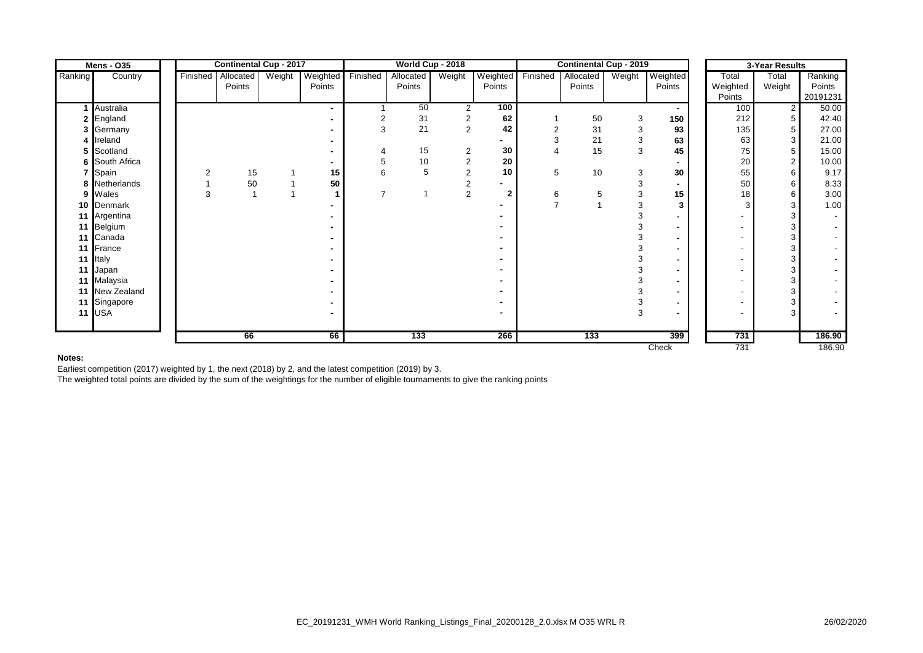|         | <b>Continental Cup - 2017</b><br><b>Mens - 035</b> |  |                |                     |        |                    | World Cup - 2018 |                     |                | <b>Continental Cup - 2019</b> |          |                       | 3-Year Results |                    |                          |                 |                   |
|---------|----------------------------------------------------|--|----------------|---------------------|--------|--------------------|------------------|---------------------|----------------|-------------------------------|----------|-----------------------|----------------|--------------------|--------------------------|-----------------|-------------------|
| Ranking | Country                                            |  | Finished       | Allocated<br>Points | Weight | Weighted<br>Points | Finished         | Allocated<br>Points | Weight         | Weighted<br>Points            | Finished | Allocated  <br>Points | Weight         | Weighted<br>Points | Total<br>Weighted        | Total<br>Weight | Ranking<br>Points |
|         |                                                    |  |                |                     |        |                    |                  |                     |                |                               |          |                       |                |                    | Points                   |                 | 20191231          |
|         | Australia                                          |  |                |                     |        | $\blacksquare$     |                  | 50                  | $\overline{2}$ | 100                           |          |                       |                |                    | 100                      | 2               | 50.00             |
|         | 2 England                                          |  |                |                     |        |                    | 2                | 31                  | $\overline{2}$ | 62                            |          | 50                    | 3              | 150                | 212                      | 5               | 42.40             |
|         | Germany                                            |  |                |                     |        |                    | 3                | 21                  | $\overline{2}$ | 42                            |          | 31                    | 3              | 93                 | 135                      | 5               | 27.00             |
|         | Ireland                                            |  |                |                     |        |                    |                  |                     |                |                               |          | 21                    | 3              | 63                 | 63                       | 3               | 21.00             |
|         | 5 Scotland                                         |  |                |                     |        |                    |                  | 15                  | 2              | 30                            |          | 15                    | 3              | 45                 | 75                       | 5               | 15.00             |
|         | 6 South Africa                                     |  |                |                     |        |                    | 5                | 10                  | 2              | 20                            |          |                       |                |                    | 20                       |                 | 10.00             |
|         | ' Spain                                            |  | $\overline{2}$ | 15                  |        | 15                 | 6                | 5                   | $\overline{2}$ | 10                            | 5        | 10                    | 3              | 30                 | 55                       | 6               | 9.17              |
|         | 8 Netherlands                                      |  |                | 50                  |        | 50                 |                  |                     |                |                               |          |                       | 3              |                    | 50                       | 6               | 8.33              |
|         | 9 Wales                                            |  | 3              |                     |        |                    | ⇁                |                     | $\overline{2}$ | $\mathbf{2}$                  | 6        | 5                     | 3              | 15                 | 18                       | 6               | 3.00              |
|         | 10 Denmark                                         |  |                |                     |        |                    |                  |                     |                |                               |          |                       | 3              | 3                  |                          | 3               | 1.00              |
| 11      | Argentina                                          |  |                |                     |        |                    |                  |                     |                |                               |          |                       |                |                    |                          |                 |                   |
| 11      | Belgium                                            |  |                |                     |        |                    |                  |                     |                |                               |          |                       |                |                    |                          | 3               |                   |
| 11      | Canada                                             |  |                |                     |        |                    |                  |                     |                |                               |          |                       |                |                    |                          |                 |                   |
| 11      | France                                             |  |                |                     |        |                    |                  |                     |                |                               |          |                       |                |                    |                          | 3               |                   |
| 11      | Italy                                              |  |                |                     |        |                    |                  |                     |                |                               |          |                       |                |                    |                          |                 |                   |
| 11      | Japan                                              |  |                |                     |        |                    |                  |                     |                |                               |          |                       |                |                    | $\overline{\phantom{a}}$ | 3               |                   |
| 11      | Malaysia                                           |  |                |                     |        |                    |                  |                     |                |                               |          |                       |                |                    |                          | 3               |                   |
| 11      | New Zealand                                        |  |                |                     |        |                    |                  |                     |                |                               |          |                       |                |                    |                          |                 |                   |
| 11      | Singapore                                          |  |                |                     |        |                    |                  |                     |                |                               |          |                       |                |                    |                          | 3               |                   |
|         | $11$ USA                                           |  |                |                     |        |                    |                  |                     |                |                               |          |                       | 3              |                    |                          | 3               |                   |
|         |                                                    |  |                | 66                  |        | 66                 |                  | 133                 |                | 266                           |          | 133                   |                | 399                | 731                      |                 | 186.90            |
|         |                                                    |  |                |                     |        |                    |                  |                     |                |                               |          |                       |                | Check              | 731                      |                 | 186.90            |

Earliest competition (2017) weighted by 1, the next (2018) by 2, and the latest competition (2019) by 3.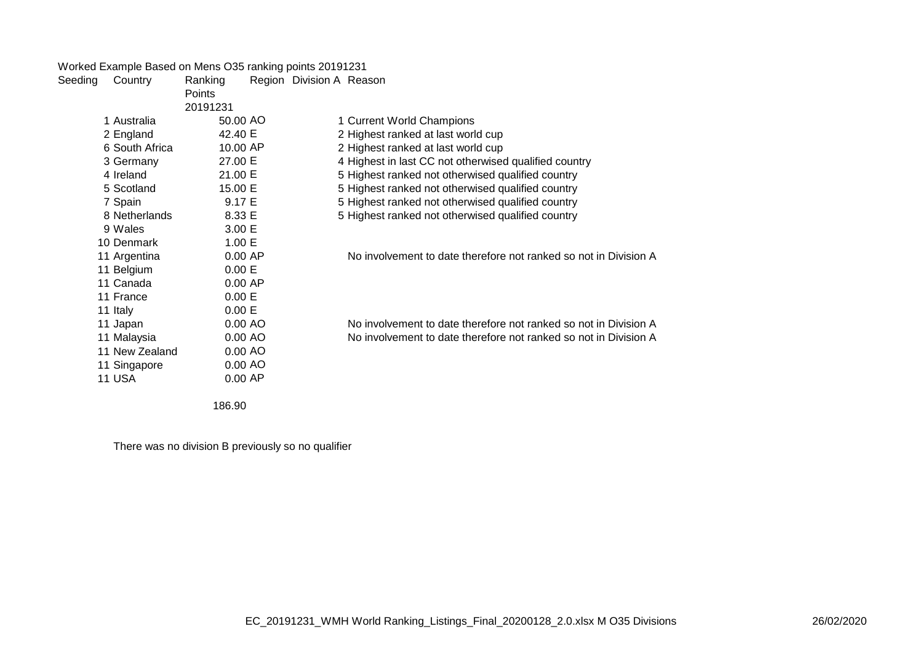|         | Worked Example Based on Mens O35 ranking points 20191231 |                               |                          |                                                                  |
|---------|----------------------------------------------------------|-------------------------------|--------------------------|------------------------------------------------------------------|
| Seeding | Country                                                  | Ranking<br>Points<br>20191231 | Region Division A Reason |                                                                  |
|         | 1 Australia                                              | 50.00 AO                      |                          | 1 Current World Champions                                        |
|         | 2 England                                                | 42.40 E                       |                          | 2 Highest ranked at last world cup                               |
|         | 6 South Africa                                           | 10.00 AP                      |                          | 2 Highest ranked at last world cup                               |
|         | 3 Germany                                                | 27.00 E                       |                          | 4 Highest in last CC not otherwised qualified country            |
|         | 4 Ireland                                                | 21.00 E                       |                          | 5 Highest ranked not otherwised qualified country                |
|         | 5 Scotland                                               | 15.00 E                       |                          | 5 Highest ranked not otherwised qualified country                |
|         | 7 Spain                                                  | 9.17 E                        |                          | 5 Highest ranked not otherwised qualified country                |
|         | 8 Netherlands                                            | 8.33 E                        |                          | 5 Highest ranked not otherwised qualified country                |
|         | 9 Wales                                                  | 3.00 E                        |                          |                                                                  |
|         | 10 Denmark                                               | 1.00 E                        |                          |                                                                  |
|         | 11 Argentina                                             | $0.00$ AP                     |                          | No involvement to date therefore not ranked so not in Division A |
|         | 11 Belgium                                               | 0.00 E                        |                          |                                                                  |
|         | 11 Canada                                                | 0.00 AP                       |                          |                                                                  |
|         | 11 France                                                | 0.00 E                        |                          |                                                                  |
|         | 11 Italy                                                 | 0.00 E                        |                          |                                                                  |
|         | 11 Japan                                                 | 0.00 A <sub>O</sub>           |                          | No involvement to date therefore not ranked so not in Division A |
|         | 11 Malaysia                                              | $0.00$ AO                     |                          | No involvement to date therefore not ranked so not in Division A |
|         | 11 New Zealand                                           | 0.00 A <sub>O</sub>           |                          |                                                                  |
|         | 11 Singapore                                             | 0.00 A <sub>O</sub>           |                          |                                                                  |
|         | <b>11 USA</b>                                            | 0.00 AP                       |                          |                                                                  |
|         |                                                          |                               |                          |                                                                  |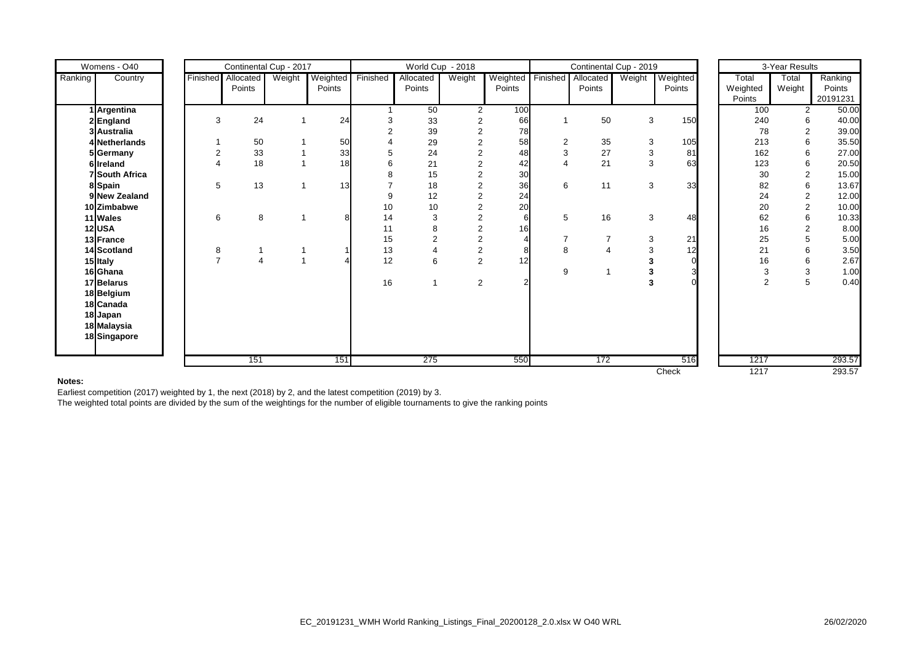|          | Womens - O40          |          | Continental Cup - 2017 |        |          |          |           | World Cup - 2018 |                |                | Continental Cup - 2019 |        |          | 3-Year Results |                |          |
|----------|-----------------------|----------|------------------------|--------|----------|----------|-----------|------------------|----------------|----------------|------------------------|--------|----------|----------------|----------------|----------|
| Ranking  | Country               | Finished | Allocated              | Weight | Weighted | Finished | Allocated | Weight           | Weighted       | Finished       | Allocated              | Weight | Weighted | Total          | Total          | Ranking  |
|          |                       |          | Points                 |        | Points   |          | Points    |                  | Points         |                | Points                 |        | Points   | Weighted       | Weight         | Points   |
|          |                       |          |                        |        |          |          |           |                  |                |                |                        |        |          | Points         |                | 20191231 |
|          | 1 Argentina           |          |                        |        |          |          | 50        | 2                | 100            |                |                        |        |          | 100            | 2              | 50.00    |
|          | 2England              | 3        | 24                     |        | 24       |          | 33        | $\overline{2}$   | 66             |                | 50                     | 3      | 150      | 240            | 6              | 40.00    |
|          | <b>3</b> Australia    |          |                        |        |          |          | 39        | $\overline{2}$   | 78             |                |                        |        |          | 78             | $\overline{2}$ | 39.00    |
|          | 4lNetherlands         |          | 50                     |        | 50       |          | 29        | $\overline{2}$   | 58             | $\overline{2}$ | 35                     | 3      | 105      | 213            | 6              | 35.50    |
|          | 5Germany              |          | 33                     |        | 33       |          | 24        | $\overline{2}$   | 48             | 3              | 27                     | 3      | 81       | 162            | 6              | 27.00    |
|          | 6lreland              |          | 18                     |        | 18       |          | 21        | $\overline{2}$   | 42             |                | 21                     | 3      | 63       | 123            | 6              | 20.50    |
|          | <b>7</b> South Africa |          |                        |        |          |          | 15        | 2                | 30             |                |                        |        |          | 30             | $\sqrt{2}$     | 15.00    |
|          | 8Spain                | 5        | 13                     |        | 13       |          | 18        | $\overline{2}$   | 36             | 6              | 11                     | 3      | 33       | 82             | 6              | 13.67    |
|          | 9 New Zealand         |          |                        |        |          | 9        | 12        | $\overline{2}$   | 24             |                |                        |        |          | 24             | $\overline{2}$ | 12.00    |
|          | 10IZimbabwe           |          |                        |        |          | 10       | 10        | $\overline{2}$   | 20             |                |                        |        |          | 20             | 2              | 10.00    |
| 11 Wales |                       | 6        | 8                      |        |          | 14       | 3         | $\overline{2}$   | 6              | 5              | 16                     | 3      | 48       | 62             | 6              | 10.33    |
| 12IUSA   |                       |          |                        |        |          | 11       |           | 2                | 16             |                |                        |        |          | 16             | $\overline{2}$ | 8.00     |
|          | 13 France             |          |                        |        |          | 15       |           | $\overline{2}$   |                | 7              | $\overline{7}$         | 3      | 21       | 25             | 5              | 5.00     |
|          | 14 Scotland           | 8        |                        |        |          | 13       |           | 2                |                | 8              |                        | 3      | 12       | 21             | 6              | 3.50     |
| 15 Italy |                       |          | 4                      |        |          | 12       | 6         | $\overline{2}$   | 12             |                |                        |        | $\Omega$ | 16             | 6              | 2.67     |
| 16 Ghana |                       |          |                        |        |          |          |           |                  |                | 9              |                        |        |          | 3              | 3              | 1.00     |
|          | 17 Belarus            |          |                        |        |          | 16       |           | $\overline{2}$   | $\overline{2}$ |                |                        |        |          | 2              | 5              | 0.40     |
|          | 18 Belgium            |          |                        |        |          |          |           |                  |                |                |                        |        |          |                |                |          |
|          | 18 Canada             |          |                        |        |          |          |           |                  |                |                |                        |        |          |                |                |          |
| 18 Japan |                       |          |                        |        |          |          |           |                  |                |                |                        |        |          |                |                |          |
|          | 18 Malaysia           |          |                        |        |          |          |           |                  |                |                |                        |        |          |                |                |          |
|          | 18 Singapore          |          |                        |        |          |          |           |                  |                |                |                        |        |          |                |                |          |
|          |                       |          |                        |        |          |          |           |                  |                |                |                        |        |          |                |                |          |
|          |                       |          | 151                    |        | 151      |          | 275       |                  | 550            |                | 172                    |        | 516      | 1217           |                | 293.57   |
|          |                       |          |                        |        |          |          |           |                  |                |                |                        |        | Check    | 1217           |                | 293.57   |

Earliest competition (2017) weighted by 1, the next (2018) by 2, and the latest competition (2019) by 3.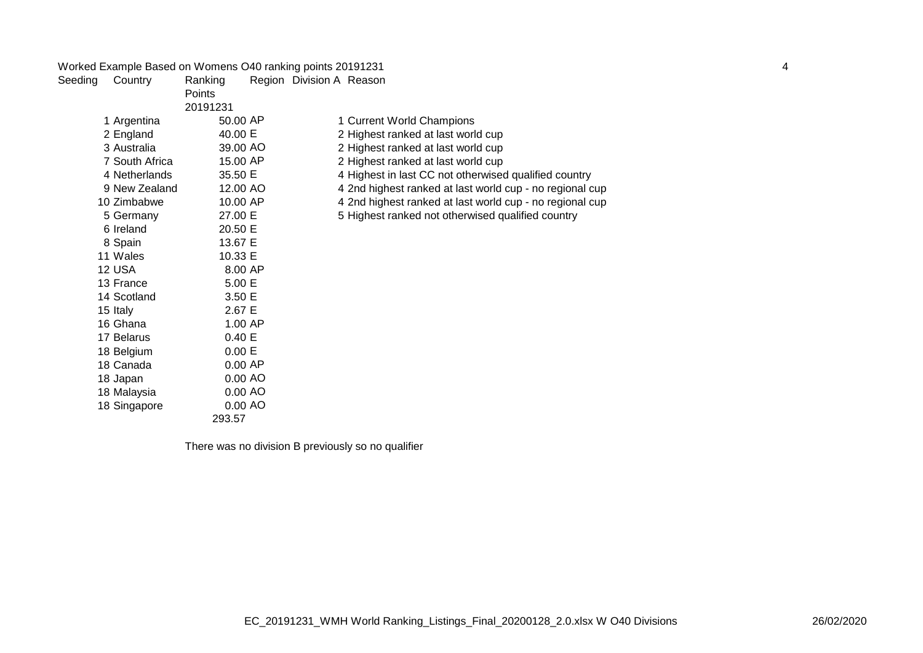|                 | Worked Example Based on Womens O40 ranking points 20191231 |           |                          |                                                          | 4 |
|-----------------|------------------------------------------------------------|-----------|--------------------------|----------------------------------------------------------|---|
| Seeding Country |                                                            | Ranking   | Region Division A Reason |                                                          |   |
|                 |                                                            | Points    |                          |                                                          |   |
|                 |                                                            | 20191231  |                          |                                                          |   |
|                 | 1 Argentina                                                | 50.00 AP  |                          | 1 Current World Champions                                |   |
|                 | 2 England                                                  | 40.00 E   |                          | 2 Highest ranked at last world cup                       |   |
|                 | 3 Australia                                                | 39.00 AO  |                          | 2 Highest ranked at last world cup                       |   |
|                 | 7 South Africa                                             | 15.00 AP  |                          | 2 Highest ranked at last world cup                       |   |
|                 | 4 Netherlands                                              | 35.50 E   |                          | 4 Highest in last CC not otherwised qualified country    |   |
|                 | 9 New Zealand                                              | 12.00 AO  |                          | 4 2nd highest ranked at last world cup - no regional cup |   |
|                 | 10 Zimbabwe                                                | 10.00 AP  |                          | 4 2nd highest ranked at last world cup - no regional cup |   |
|                 | 5 Germany                                                  | 27.00 E   |                          | 5 Highest ranked not otherwised qualified country        |   |
|                 | 6 Ireland                                                  | 20.50 E   |                          |                                                          |   |
|                 | 8 Spain                                                    | 13.67 E   |                          |                                                          |   |
|                 | 11 Wales                                                   | 10.33 E   |                          |                                                          |   |
|                 | 12 USA                                                     | 8.00 AP   |                          |                                                          |   |
|                 | 13 France                                                  | 5.00 E    |                          |                                                          |   |
|                 | 14 Scotland                                                | 3.50 E    |                          |                                                          |   |
|                 | 15 Italy                                                   | 2.67 E    |                          |                                                          |   |
|                 | 16 Ghana                                                   | 1.00 AP   |                          |                                                          |   |
|                 | 17 Belarus                                                 | 0.40 E    |                          |                                                          |   |
|                 | 18 Belgium                                                 | 0.00 E    |                          |                                                          |   |
|                 | 18 Canada                                                  | $0.00$ AP |                          |                                                          |   |
|                 | 18 Japan                                                   | $0.00$ AO |                          |                                                          |   |
|                 | 18 Malaysia                                                | $0.00$ AO |                          |                                                          |   |
|                 | 18 Singapore                                               | $0.00$ AO |                          |                                                          |   |
|                 |                                                            | 293.57    |                          |                                                          |   |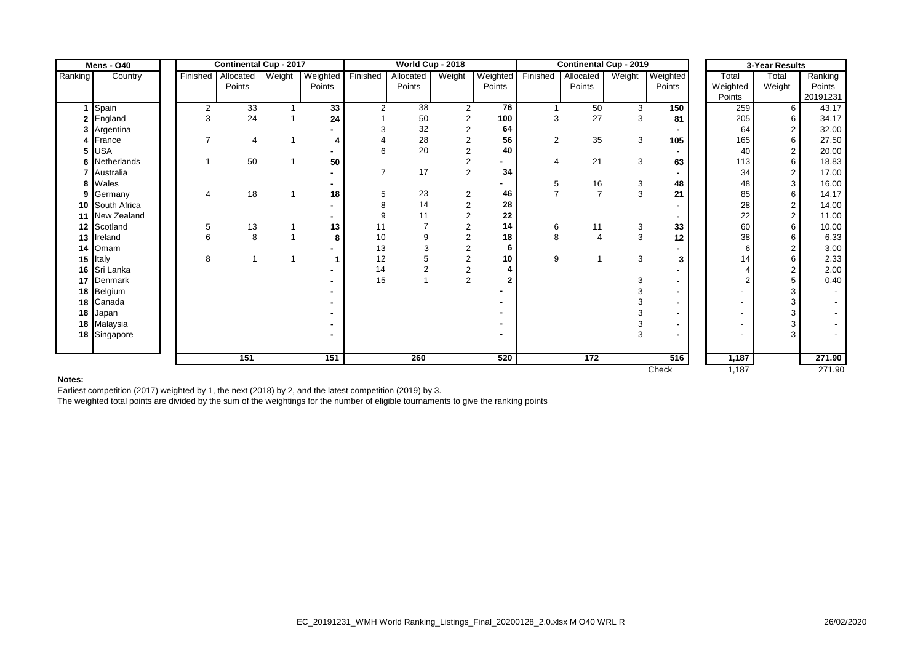|         | <b>Mens - 040</b>  |                | <b>Continental Cup - 2017</b> |                |          |          |                 | World Cup - 2018 |                |          | <b>Continental Cup - 2019</b> |        |          | 3-Year Results |                |          |
|---------|--------------------|----------------|-------------------------------|----------------|----------|----------|-----------------|------------------|----------------|----------|-------------------------------|--------|----------|----------------|----------------|----------|
| Ranking | Country            | Finished       | Allocated                     | Weight         | Weighted | Finished | Allocated       | Weight           | Weighted       | Finished | Allocated                     | Weight | Weighted | Total          | Total          | Ranking  |
|         |                    |                | Points                        |                | Points   |          | Points          |                  | Points         |          | Points                        |        | Points   | Weighted       | Weight         | Points   |
|         |                    |                |                               |                |          |          |                 |                  |                |          |                               |        |          | Points         |                | 20191231 |
|         | Spain              | $\overline{2}$ | 33                            |                | 33       | 2        | $\overline{38}$ | 2                | 76             |          | 50                            | 3      | 150      | 259            | 6              | 43.17    |
|         | 2 England          | 3              | 24                            | 1              | 24       |          | 50              | $\overline{2}$   | 100            | 3        | 27                            | 3      | 81       | 205            |                | 34.17    |
|         | 3 Argentina        |                |                               |                |          | 3        | 32              | $\overline{2}$   | 64             |          |                               |        |          | 64             |                | 32.00    |
|         | 4 France           | $\overline{7}$ | 4                             |                |          |          | 28              | $\overline{2}$   | 56             | 2        | 35                            | 3      | 105      | 165            | 6              | 27.50    |
|         | <b>USA</b>         |                |                               |                |          | 6        | 20              | $\overline{2}$   | 40             |          |                               |        |          | 40             |                | 20.00    |
|         | 6 Netherlands      | 1              | 50                            | $\overline{1}$ | 50       |          |                 | $\overline{2}$   | $\blacksquare$ | 4        | 21                            | 3      | 63       | 113            | 6              | 18.83    |
|         | <b>7</b> Australia |                |                               |                |          | 7        | 17              | $\overline{2}$   | 34             |          |                               |        |          | 34             |                | 17.00    |
|         | 8 Wales            |                |                               |                |          |          |                 |                  |                | 5        | 16                            | 3      | 48       | 48             | 3              | 16.00    |
|         | Germany            | 4              | 18                            | 1              | 18       | 5        | 23              | $\overline{2}$   | 46             |          | $\overline{7}$                | 3      | 21       | 85             | 6              | 14.17    |
|         | 10 South Africa    |                |                               |                |          | 8        | 14              | $\overline{2}$   | 28             |          |                               |        |          | 28             | $\overline{2}$ | 14.00    |
|         | 11 New Zealand     |                |                               |                |          | 9        | 11              | $\overline{2}$   | 22             |          |                               |        |          | 22             |                | 11.00    |
|         | 12 Scotland        | 5              | 13                            |                | 13       | 11       |                 | $\overline{2}$   | 14             | 6        | 11                            | 3      | 33       | 60             | 6              | 10.00    |
|         | 13 Ireland         | 6              | 8                             | 1              | 8        | 10       | 9               | $\overline{2}$   | 18             | 8        | $\overline{4}$                | 3      | 12       | 38             |                | 6.33     |
|         | 14 Omam            |                |                               |                |          | 13       | 3               | $\overline{2}$   | 6              |          |                               |        |          |                |                | 3.00     |
|         | 15 Italy           | 8              |                               | 1              |          | 12       |                 | $\overline{2}$   | 10             | 9        |                               | 3      | 3        | 14             | 6              | 2.33     |
| 16      | Sri Lanka          |                |                               |                |          | 14       |                 | $\overline{2}$   |                |          |                               |        |          |                | 2              | 2.00     |
| 17      | Denmark            |                |                               |                |          | 15       |                 | $\overline{2}$   | $\overline{2}$ |          |                               |        |          |                |                | 0.40     |
|         | 18 Belgium         |                |                               |                |          |          |                 |                  |                |          |                               |        |          |                |                |          |
|         | 18 Canada          |                |                               |                |          |          |                 |                  |                |          |                               |        |          |                | 3              |          |
| 18      | Japan              |                |                               |                |          |          |                 |                  |                |          |                               |        |          |                | 3              |          |
|         | 18 Malaysia        |                |                               |                |          |          |                 |                  |                |          |                               |        |          |                | 3              |          |
|         | 18 Singapore       |                |                               |                |          |          |                 |                  |                |          |                               |        |          |                | 3              |          |
|         |                    |                |                               |                |          |          |                 |                  |                |          |                               |        |          |                |                |          |
|         |                    |                | 151                           |                | 151      |          | 260             |                  | 520            |          | 172                           |        | 516      | 1,187          |                | 271.90   |
|         |                    |                |                               |                |          |          |                 |                  |                |          |                               |        | Check    | 1,187          |                | 271.90   |

Earliest competition (2017) weighted by 1, the next (2018) by 2, and the latest competition (2019) by 3.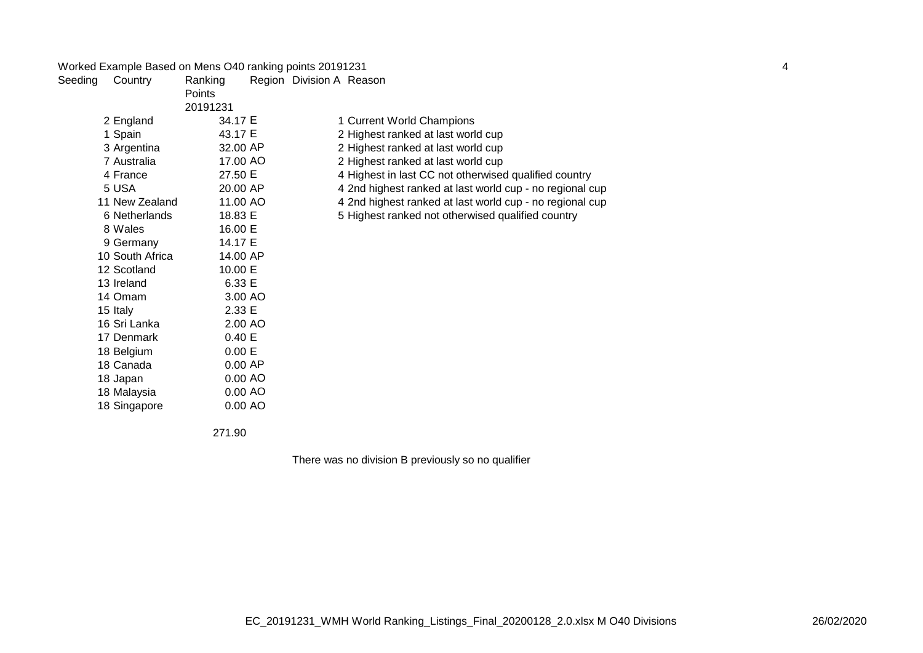| Worked Example Based on Mens O40 ranking points 20191231 |  |
|----------------------------------------------------------|--|
|----------------------------------------------------------|--|

| Seeding | Country         | Ranking<br>Points<br>20191231 | Region Division A Reason |                                                          |
|---------|-----------------|-------------------------------|--------------------------|----------------------------------------------------------|
|         | 2 England       | 34.17 E                       |                          | 1 Current World Champions                                |
|         | 1 Spain         | 43.17 E                       |                          | 2 Highest ranked at last world cup                       |
|         | 3 Argentina     | 32.00 AP                      |                          | 2 Highest ranked at last world cup                       |
|         | 7 Australia     | 17.00 AO                      |                          | 2 Highest ranked at last world cup                       |
|         | 4 France        | 27.50 E                       |                          | 4 Highest in last CC not otherwised qualified country    |
|         | 5 USA           | 20.00 AP                      |                          | 4 2nd highest ranked at last world cup - no regional cup |
|         | 11 New Zealand  | 11.00 AO                      |                          | 4 2nd highest ranked at last world cup - no regional cup |
|         | 6 Netherlands   | 18.83 E                       |                          | 5 Highest ranked not otherwised qualified country        |
|         | 8 Wales         | 16.00 E                       |                          |                                                          |
|         | 9 Germany       | 14.17 E                       |                          |                                                          |
|         | 10 South Africa | 14.00 AP                      |                          |                                                          |
|         | 12 Scotland     | 10.00 E                       |                          |                                                          |
|         | 13 Ireland      | 6.33 E                        |                          |                                                          |
|         | 14 Omam         | 3.00 AO                       |                          |                                                          |
|         | 15 Italy        | 2.33 E                        |                          |                                                          |
|         | 16 Sri Lanka    | 2.00 AO                       |                          |                                                          |
|         | 17 Denmark      | 0.40 E                        |                          |                                                          |
|         | 18 Belgium      | 0.00 E                        |                          |                                                          |
|         | 18 Canada       | $0.00$ AP                     |                          |                                                          |
|         | 18 Japan        | $0.00$ AO                     |                          |                                                          |
|         | 18 Malaysia     | $0.00$ AO                     |                          |                                                          |
|         | 18 Singapore    | 0.00 AO                       |                          |                                                          |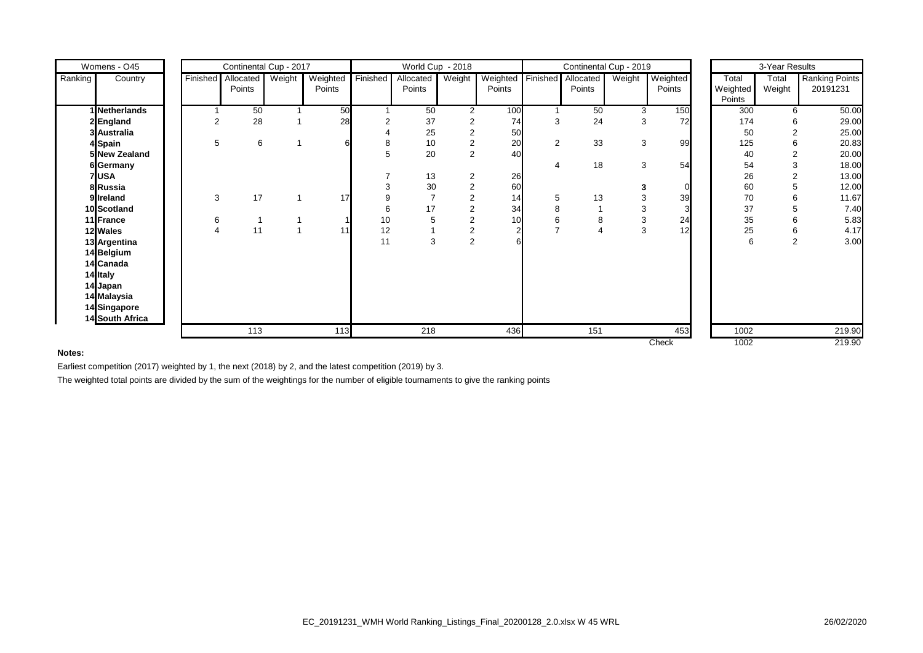| Womens - O45 |                    |          | Continental Cup - 2017 |        |                    | World Cup - 2018 |                     |                         |                    | Continental Cup - 2019 |                     |                           |                    | 3-Year Results              |                 |                                   |
|--------------|--------------------|----------|------------------------|--------|--------------------|------------------|---------------------|-------------------------|--------------------|------------------------|---------------------|---------------------------|--------------------|-----------------------------|-----------------|-----------------------------------|
| Ranking      | Country            | Finished | Allocated<br>Points    | Weight | Weighted<br>Points | Finished         | Allocated<br>Points | Weight                  | Weighted<br>Points | Finished               | Allocated<br>Points | Weight                    | Weighted<br>Points | Total<br>Weighted<br>Points | Total<br>Weight | <b>Ranking Points</b><br>20191231 |
|              | <b>Netherlands</b> |          | 50                     |        | 50                 |                  | 50                  | $\overline{2}$          | 100                |                        | 50                  | 3                         | 150                | 300                         | 6               | 50.00                             |
|              | 2England           | 2        | 28                     |        | 28                 | 2                | 37                  | $\overline{c}$          | 74                 | 3                      | 24                  | 3                         | 72                 | 174                         | 6               | 29.00                             |
|              | 3 Australia        |          |                        |        |                    | 4                | 25                  | $\overline{c}$          | 50                 |                        |                     |                           |                    | 50                          | $\overline{2}$  | 25.00                             |
|              | 4Spain             | 5        | 6                      |        |                    | 8                | 10                  | $\overline{2}$          | 20                 | 2                      | 33                  | 3                         | 99                 | 125                         | 6               | 20.83                             |
|              | 5 New Zealand      |          |                        |        |                    | 5                | 20                  | $\overline{2}$          | 40                 |                        |                     |                           |                    | 40                          | $\overline{2}$  | 20.00                             |
|              | 6 Germany          |          |                        |        |                    |                  |                     |                         |                    | $\overline{4}$         | 18                  | 3                         | 54                 | 54                          | 3               | 18.00                             |
|              | <b>7USA</b>        |          |                        |        |                    |                  | 13                  | 2                       | 26                 |                        |                     |                           |                    | 26                          | $\overline{2}$  | 13.00                             |
|              | 8 Russia           |          |                        |        |                    | 3                | 30                  | $\overline{c}$          | 60                 |                        |                     | 3                         | $\Omega$           | 60                          | 5               | 12.00                             |
|              | 9 Ireland          | 3        | 17                     |        | 17                 | 9                |                     | $\overline{c}$          | 14                 | 5                      | 13                  | 3                         | 39                 | 70                          | 6               | 11.67                             |
|              | 10 Scotland        |          |                        |        |                    | 6                | 17                  | $\overline{\mathbf{c}}$ | 34                 | 8                      |                     | 3                         | 3                  | 37                          | 5               | 7.40                              |
|              | 11 France          | 6        |                        |        |                    | 10               | 5                   | $\overline{c}$          | 10                 | 6                      | 8                   | $\ensuremath{\mathsf{3}}$ | 24                 | 35                          | 6               | 5.83                              |
|              | 12 Wales           |          | 11                     |        | 11                 | 12               |                     | $\overline{\mathbf{c}}$ |                    | $\overline{ }$         |                     | 3                         | 12                 | 25                          | 6               | 4.17                              |
|              | 13 Argentina       |          |                        |        |                    | 11               | 3                   | $\overline{2}$          |                    |                        |                     |                           |                    | 6                           | $\overline{2}$  | 3.00                              |
|              | 14 Belgium         |          |                        |        |                    |                  |                     |                         |                    |                        |                     |                           |                    |                             |                 |                                   |
|              | 14 Canada          |          |                        |        |                    |                  |                     |                         |                    |                        |                     |                           |                    |                             |                 |                                   |
|              | 14 Italy           |          |                        |        |                    |                  |                     |                         |                    |                        |                     |                           |                    |                             |                 |                                   |
|              | 14 Japan           |          |                        |        |                    |                  |                     |                         |                    |                        |                     |                           |                    |                             |                 |                                   |
|              | 14 Malaysia        |          |                        |        |                    |                  |                     |                         |                    |                        |                     |                           |                    |                             |                 |                                   |
|              | 14 Singapore       |          |                        |        |                    |                  |                     |                         |                    |                        |                     |                           |                    |                             |                 |                                   |
|              | 14 South Africa    |          |                        |        |                    |                  |                     |                         |                    |                        |                     |                           |                    |                             |                 |                                   |
|              |                    |          | 113                    |        | 113                |                  | 218                 |                         | 436                |                        | 151                 |                           | 453                | 1002                        |                 | 219.90                            |
|              |                    |          |                        |        |                    |                  |                     |                         |                    |                        |                     |                           | Check              | 1002                        |                 | 219.90                            |

Earliest competition (2017) weighted by 1, the next (2018) by 2, and the latest competition (2019) by 3.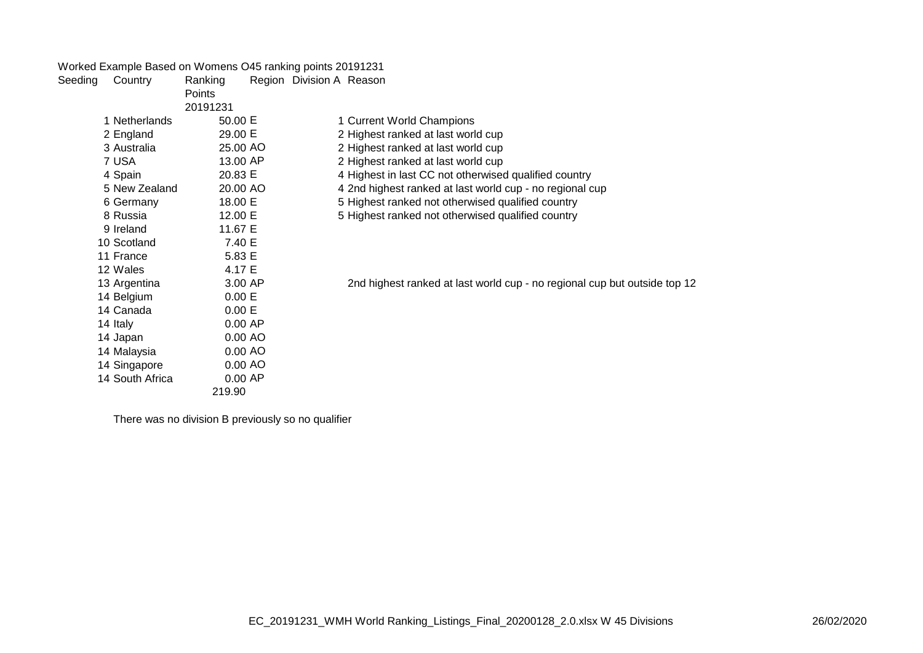| Country         | Ranking<br>Points |          |                                                                                                                                                                                                                                            |                                                                                        |
|-----------------|-------------------|----------|--------------------------------------------------------------------------------------------------------------------------------------------------------------------------------------------------------------------------------------------|----------------------------------------------------------------------------------------|
|                 |                   |          |                                                                                                                                                                                                                                            |                                                                                        |
| 1 Netherlands   |                   |          |                                                                                                                                                                                                                                            | 1 Current World Champions                                                              |
| 2 England       |                   |          |                                                                                                                                                                                                                                            | 2 Highest ranked at last world cup                                                     |
| 3 Australia     |                   |          |                                                                                                                                                                                                                                            | 2 Highest ranked at last world cup                                                     |
| 7 USA           |                   |          |                                                                                                                                                                                                                                            | 2 Highest ranked at last world cup                                                     |
| 4 Spain         |                   |          |                                                                                                                                                                                                                                            | 4 Highest in last CC not otherwised qualified country                                  |
| 5 New Zealand   |                   |          |                                                                                                                                                                                                                                            | 4 2nd highest ranked at last world cup - no regional cup                               |
| 6 Germany       |                   |          |                                                                                                                                                                                                                                            | 5 Highest ranked not otherwised qualified country                                      |
| 8 Russia        |                   |          |                                                                                                                                                                                                                                            | 5 Highest ranked not otherwised qualified country                                      |
| 9 Ireland       |                   |          |                                                                                                                                                                                                                                            |                                                                                        |
| 10 Scotland     |                   |          |                                                                                                                                                                                                                                            |                                                                                        |
| 11 France       |                   |          |                                                                                                                                                                                                                                            |                                                                                        |
| 12 Wales        |                   |          |                                                                                                                                                                                                                                            |                                                                                        |
| 13 Argentina    |                   |          |                                                                                                                                                                                                                                            | 2nd highest ranked at last world cup - no regional cup but outside top 12              |
| 14 Belgium      |                   |          |                                                                                                                                                                                                                                            |                                                                                        |
| 14 Canada       |                   |          |                                                                                                                                                                                                                                            |                                                                                        |
| 14 Italy        |                   |          |                                                                                                                                                                                                                                            |                                                                                        |
| 14 Japan        |                   |          |                                                                                                                                                                                                                                            |                                                                                        |
| 14 Malaysia     |                   |          |                                                                                                                                                                                                                                            |                                                                                        |
| 14 Singapore    |                   |          |                                                                                                                                                                                                                                            |                                                                                        |
| 14 South Africa |                   |          |                                                                                                                                                                                                                                            |                                                                                        |
|                 |                   |          |                                                                                                                                                                                                                                            |                                                                                        |
|                 |                   | 20191231 | 50.00 E<br>29.00 E<br>25.00 AO<br>13.00 AP<br>20.83 E<br>20.00 AO<br>18.00 E<br>12.00 E<br>11.67 E<br>7.40 E<br>5.83 E<br>4.17 E<br>3.00 AP<br>0.00 E<br>0.00 E<br>$0.00$ AP<br>$0.00$ AO<br>$0.00$ AO<br>$0.00$ AO<br>$0.00$ AP<br>219.90 | Worked Example Based on Womens O45 ranking points 20191231<br>Region Division A Reason |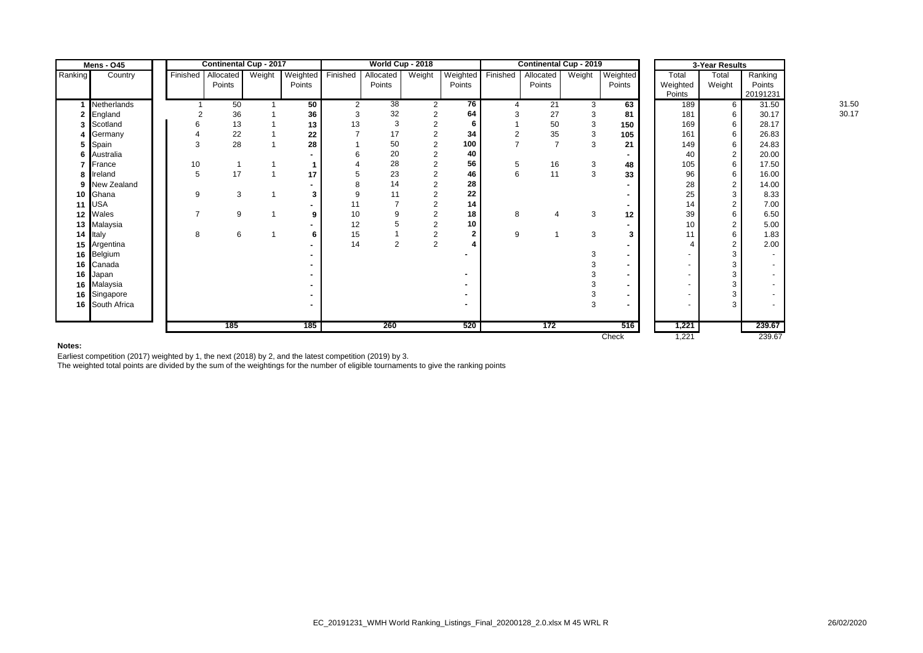|                | <b>Mens - 045</b> |                | <b>Continental Cup - 2017</b> |        |                    |          |                     | World Cup - 2018 |                    | <b>Continental Cup - 2019</b> |                     |              |                    | 3-Year Results              |                 |                               |       |
|----------------|-------------------|----------------|-------------------------------|--------|--------------------|----------|---------------------|------------------|--------------------|-------------------------------|---------------------|--------------|--------------------|-----------------------------|-----------------|-------------------------------|-------|
| Ranking        | Country           | Finished       | Allocated<br>Points           | Weight | Weighted<br>Points | Finished | Allocated<br>Points | Weight           | Weighted<br>Points | Finished                      | Allocated<br>Points | Weight       | Weighted<br>Points | Total<br>Weighted<br>Points | Total<br>Weight | Ranking<br>Points<br>20191231 |       |
|                | Netherlands       |                | 50                            |        | 50                 | 2        | 38                  | 2                | 76                 |                               | 21                  | 3            | 63                 | 189                         | 6               | 31.50                         | 31.50 |
| $\overline{2}$ | England           |                | 36                            |        | 36                 | 3        | 32                  | 2                | 64                 | 3                             | 27                  | 3            | 81                 | 181                         | 6               | 30.17                         | 30.17 |
|                | Scotland          |                | 13                            |        | 13                 | 13       | 3                   |                  |                    |                               | 50                  | $\mathbf{3}$ | 150                | 169                         | 6               | 28.17                         |       |
|                | Germany           |                | 22                            |        | 22                 |          | 17                  |                  | 34                 |                               | 35                  | $\mathsf 3$  | 105                | 161                         | 6               | 26.83                         |       |
| 5              | Spain             |                | 28                            |        | 28                 |          | 50                  | 2                | 100                |                               | $\overline{7}$      | $\mathbf{3}$ | 21                 | 149                         | 6               | 24.83                         |       |
|                | Australia         |                |                               |        |                    | 6        | 20                  |                  | 40                 |                               |                     |              |                    | 40                          |                 | 20.00                         |       |
|                | France            | 10             |                               |        |                    |          | 28                  | $\overline{2}$   | 56                 | 5                             | 16                  | 3            | 48                 | 105                         | 6               | 17.50                         |       |
| 8              | Ireland           | 5              | 17                            |        | 17                 |          | 23                  |                  | 46                 | 6                             | 11                  | $\mathbf{3}$ | 33                 | 96                          | 6               | 16.00                         |       |
|                | 9 New Zealand     |                |                               |        |                    | 8        | 14                  |                  | 28                 |                               |                     |              |                    | 28                          |                 | 14.00                         |       |
| 10             | Ghana             | 9              | 3                             |        | 3                  | 9        | 11                  | $\overline{2}$   | 22                 |                               |                     |              |                    | 25                          |                 | 8.33                          |       |
| 11             | <b>USA</b>        |                |                               |        |                    | 11       |                     | 2                | 14                 |                               |                     |              |                    | 14                          |                 | 7.00                          |       |
|                | 12 Wales          | $\overline{ }$ | 9                             |        | 9                  | 10       | 9                   | 2                | 18                 | 8                             | 4                   | 3            | 12                 | 39                          |                 | 6.50                          |       |
|                | 13 Malaysia       |                |                               |        |                    | 12       |                     | 2                | 10                 |                               |                     |              |                    | 10                          |                 | 5.00                          |       |
| 14             | Italy             | 8              | 6                             |        | 6                  | 15       |                     |                  | $\overline{2}$     | 9                             | -1                  | 3            | 3                  | 11                          |                 | 1.83                          |       |
|                | 15 Argentina      |                |                               |        |                    | 14       | 2                   | $\overline{2}$   |                    |                               |                     |              |                    |                             |                 | 2.00                          |       |
|                | 16 Belgium        |                |                               |        |                    |          |                     |                  |                    |                               |                     |              |                    |                             |                 |                               |       |
|                | 16 Canada         |                |                               |        |                    |          |                     |                  |                    |                               |                     |              | ۰                  |                             |                 |                               |       |
|                | 16 Japan          |                |                               |        |                    |          |                     |                  |                    |                               |                     |              |                    |                             |                 |                               |       |
|                | 16 Malaysia       |                |                               |        |                    |          |                     |                  |                    |                               |                     |              | ٠                  |                             |                 |                               |       |
|                | 16 Singapore      |                |                               |        |                    |          |                     |                  |                    |                               |                     | 3            |                    |                             |                 |                               |       |
|                | 16 South Africa   |                |                               |        |                    |          |                     |                  |                    |                               |                     | 3            | ٠                  |                             |                 |                               |       |
|                |                   |                | 185                           |        | 185                |          | 260                 |                  | 520                |                               | 172                 |              | 516                | 1,221                       |                 | 239.67                        |       |
|                |                   |                |                               |        |                    |          |                     |                  |                    |                               |                     |              | Check              | 1,221                       |                 | 239.67                        |       |

Earliest competition (2017) weighted by 1, the next (2018) by 2, and the latest competition (2019) by 3.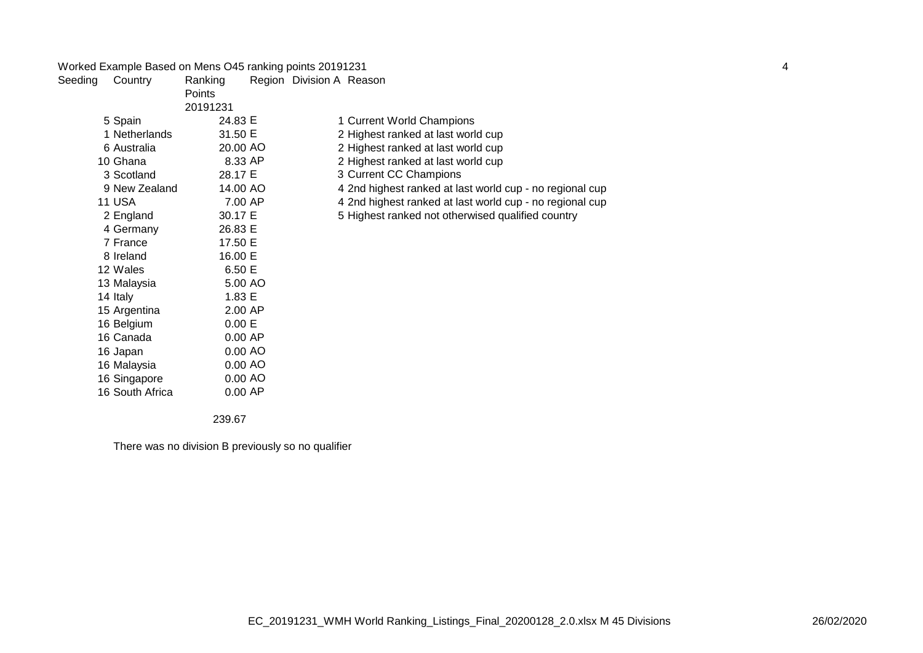|         | Worked Example Based on Mens O45 ranking points 20191231 |                   |                          |                                                          | 4 |
|---------|----------------------------------------------------------|-------------------|--------------------------|----------------------------------------------------------|---|
| Seeding | Country                                                  | Ranking<br>Points | Region Division A Reason |                                                          |   |
|         |                                                          | 20191231          |                          |                                                          |   |
|         | 5 Spain                                                  | 24.83 E           |                          | 1 Current World Champions                                |   |
|         | 1 Netherlands                                            | 31.50 E           |                          | 2 Highest ranked at last world cup                       |   |
|         | 6 Australia                                              | 20.00 AO          |                          | 2 Highest ranked at last world cup                       |   |
|         | 10 Ghana                                                 | 8.33 AP           |                          | 2 Highest ranked at last world cup                       |   |
|         | 3 Scotland                                               | 28.17 E           |                          | 3 Current CC Champions                                   |   |
|         | 9 New Zealand                                            | 14.00 AO          |                          | 4 2nd highest ranked at last world cup - no regional cup |   |
|         | <b>11 USA</b>                                            | 7.00 AP           |                          | 4 2nd highest ranked at last world cup - no regional cup |   |
|         | 2 England                                                | 30.17 E           |                          | 5 Highest ranked not otherwised qualified country        |   |
|         | 4 Germany                                                | 26.83 E           |                          |                                                          |   |
|         | 7 France                                                 | 17.50 E           |                          |                                                          |   |
|         | 8 Ireland                                                | 16.00 E           |                          |                                                          |   |
|         | 12 Wales                                                 | 6.50 E            |                          |                                                          |   |
|         | 13 Malaysia                                              | 5.00 AO           |                          |                                                          |   |
|         | 14 Italy                                                 | 1.83 E            |                          |                                                          |   |
|         | 15 Argentina                                             | 2.00 AP           |                          |                                                          |   |
|         | 16 Belgium                                               | 0.00 E            |                          |                                                          |   |
|         | 16 Canada                                                | $0.00$ AP         |                          |                                                          |   |
|         | 16 Japan                                                 | $0.00$ AO         |                          |                                                          |   |
|         | 16 Malaysia                                              | $0.00$ AO         |                          |                                                          |   |
|         | 16 Singapore                                             | $0.00$ AO         |                          |                                                          |   |
|         | 16 South Africa                                          | $0.00$ AP         |                          |                                                          |   |
|         |                                                          |                   |                          |                                                          |   |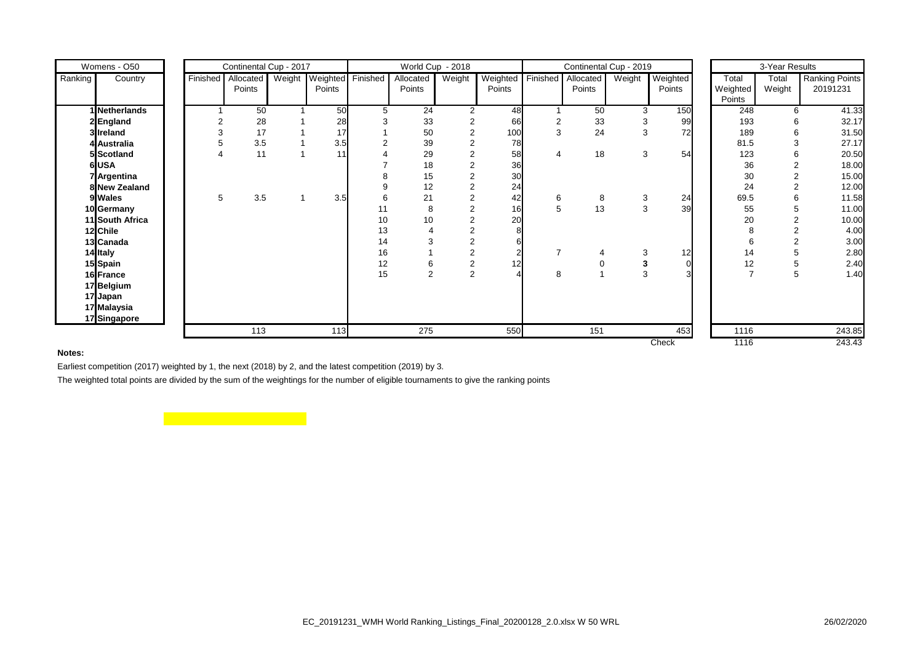|          | Womens - O50    |          | Continental Cup - 2017 |        |                    |                | World Cup - 2018    |                         |                    |          | Continental Cup - 2019 |             |                    |                             | 3-Year Results  |                                   |
|----------|-----------------|----------|------------------------|--------|--------------------|----------------|---------------------|-------------------------|--------------------|----------|------------------------|-------------|--------------------|-----------------------------|-----------------|-----------------------------------|
| Ranking  | Country         | Finished | Allocated<br>Points    | Weight | Weighted<br>Points | Finished       | Allocated<br>Points | Weight                  | Weighted<br>Points | Finished | Allocated<br>Points    | Weight      | Weighted<br>Points | Total<br>Weighted<br>Points | Total<br>Weight | <b>Ranking Points</b><br>20191231 |
|          | 1 Netherlands   |          | 50                     |        | 50                 | 5              | 24                  | $\overline{2}$          | 48                 |          | 50                     | 3           | 150                | 248                         |                 | 6<br>41.33                        |
|          | 2England        |          | 28                     |        | 28                 | 3              | 33                  | $\overline{c}$          | 66                 | 2        | 33                     | 3           | 99                 |                             | 193             | 32.17<br>6                        |
|          | 3 Ireland       |          | 17                     |        | 17 <sub>1</sub>    |                | 50                  | $\overline{\mathbf{c}}$ | 100                | 3        | 24                     | $\mathsf 3$ | 72                 |                             | 189             | 31.50<br>6                        |
|          | 4lAustralia     | 5        | 3.5                    |        | 3.5                | 2              | 39                  | $\overline{c}$          | 78                 |          |                        |             |                    | 81.5                        |                 | 27.17<br>3                        |
|          | 5 Scotland      |          | 11                     |        | 11                 | $\overline{4}$ | 29                  | $\overline{2}$          | 58                 | 4        | 18                     | 3           | 54                 |                             | 123             | 20.50<br>6                        |
| 6USA     |                 |          |                        |        |                    | $\overline{7}$ | 18                  | $\overline{c}$          | 36                 |          |                        |             |                    |                             | 36              | 18.00<br>$\overline{2}$           |
|          | 7 Argentina     |          |                        |        |                    | 8              | 15                  | $\overline{\mathbf{c}}$ | 30                 |          |                        |             |                    |                             | 30              | 15.00<br>$\overline{2}$           |
|          | 8 New Zealand   |          |                        |        |                    | 9              | 12                  | $\overline{\mathbf{c}}$ | 24                 |          |                        |             |                    |                             | 24              | 12.00<br>2                        |
|          | 9 Wales         | 5        | 3.5                    | 1      | 3.5                | 6              | 21                  | $\overline{2}$          | 42                 | 6        | 8                      | 3           | 24                 | 69.5                        |                 | 11.58<br>6                        |
|          | 10 Germany      |          |                        |        |                    | 11             | 8                   | $\overline{2}$          | 16                 | 5        | 13                     | $\mathsf 3$ | 39                 |                             | 55              | 11.00<br>5                        |
|          | 11 South Africa |          |                        |        |                    | 10             | 10                  | $\overline{c}$          | 20                 |          |                        |             |                    |                             | 20              | 10.00<br>$\overline{2}$           |
| 12 Chile |                 |          |                        |        |                    | 13             | 4                   | $\overline{\mathbf{c}}$ |                    |          |                        |             |                    |                             | 8               | 4.00<br>$\overline{2}$            |
|          | 13 Canada       |          |                        |        |                    | 14             | 3                   | $\overline{c}$          |                    |          |                        |             |                    |                             | 6               | 3.00<br>$\overline{2}$            |
| 14 Italy |                 |          |                        |        |                    | 16             |                     | $\overline{2}$          |                    | 7        | 4                      | 3           | 12                 |                             | 14              | 2.80                              |
| 15 Spain |                 |          |                        |        |                    | 12             | 6                   | $\overline{2}$          | 12                 |          | 0                      | 3           | 0                  |                             | 12              | 2.40<br>5                         |
|          | 16 France       |          |                        |        |                    | 15             | 2                   | $\overline{2}$          |                    | 8        |                        | 3           |                    |                             | $\overline{7}$  | 5<br>1.40                         |
|          | 17Belgium       |          |                        |        |                    |                |                     |                         |                    |          |                        |             |                    |                             |                 |                                   |
| 17 Japan |                 |          |                        |        |                    |                |                     |                         |                    |          |                        |             |                    |                             |                 |                                   |
|          | 17 Malaysia     |          |                        |        |                    |                |                     |                         |                    |          |                        |             |                    |                             |                 |                                   |
|          | 17 Singapore    |          |                        |        |                    |                |                     |                         |                    |          |                        |             |                    |                             |                 |                                   |
|          |                 |          | 113                    |        | 113                |                | 275                 |                         | 550                |          | 151                    |             | 453                | 1116                        |                 | 243.85                            |
|          |                 |          |                        |        |                    |                |                     |                         |                    |          |                        |             | Check              | 1116                        |                 | 243.43                            |

Earliest competition (2017) weighted by 1, the next (2018) by 2, and the latest competition (2019) by 3.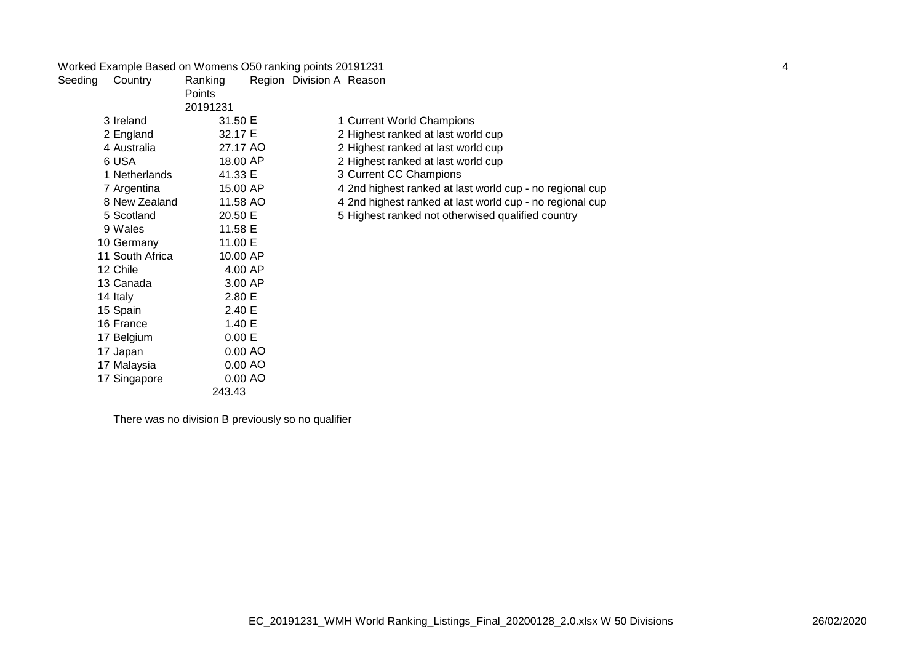| Worked Example Based on Womens O50 ranking points 20191231 |           |                          |                                                          | 4 |
|------------------------------------------------------------|-----------|--------------------------|----------------------------------------------------------|---|
| Seeding Country                                            | Ranking   | Region Division A Reason |                                                          |   |
|                                                            | Points    |                          |                                                          |   |
|                                                            | 20191231  |                          |                                                          |   |
| 3 Ireland                                                  | 31.50 E   |                          | 1 Current World Champions                                |   |
| 2 England                                                  | 32.17 E   |                          | 2 Highest ranked at last world cup                       |   |
| 4 Australia                                                | 27.17 AO  |                          | 2 Highest ranked at last world cup                       |   |
| 6 USA                                                      | 18.00 AP  |                          | 2 Highest ranked at last world cup                       |   |
| 1 Netherlands                                              | 41.33 E   |                          | 3 Current CC Champions                                   |   |
| 7 Argentina                                                | 15.00 AP  |                          | 4 2nd highest ranked at last world cup - no regional cup |   |
| 8 New Zealand                                              | 11.58 AO  |                          | 4 2nd highest ranked at last world cup - no regional cup |   |
| 5 Scotland                                                 | 20.50 E   |                          | 5 Highest ranked not otherwised qualified country        |   |
| 9 Wales                                                    | 11.58 E   |                          |                                                          |   |
| 10 Germany                                                 | 11.00 E   |                          |                                                          |   |
| 11 South Africa                                            | 10.00 AP  |                          |                                                          |   |
| 12 Chile                                                   | 4.00 AP   |                          |                                                          |   |
| 13 Canada                                                  | 3.00 AP   |                          |                                                          |   |
| 14 Italy                                                   | 2.80 E    |                          |                                                          |   |
| 15 Spain                                                   | 2.40 E    |                          |                                                          |   |
| 16 France                                                  | 1.40 E    |                          |                                                          |   |
| 17 Belgium                                                 | 0.00 E    |                          |                                                          |   |
| 17 Japan                                                   | $0.00$ AO |                          |                                                          |   |
| 17 Malaysia                                                | $0.00$ AO |                          |                                                          |   |
| 17 Singapore                                               | $0.00$ AO |                          |                                                          |   |
|                                                            | 243.43    |                          |                                                          |   |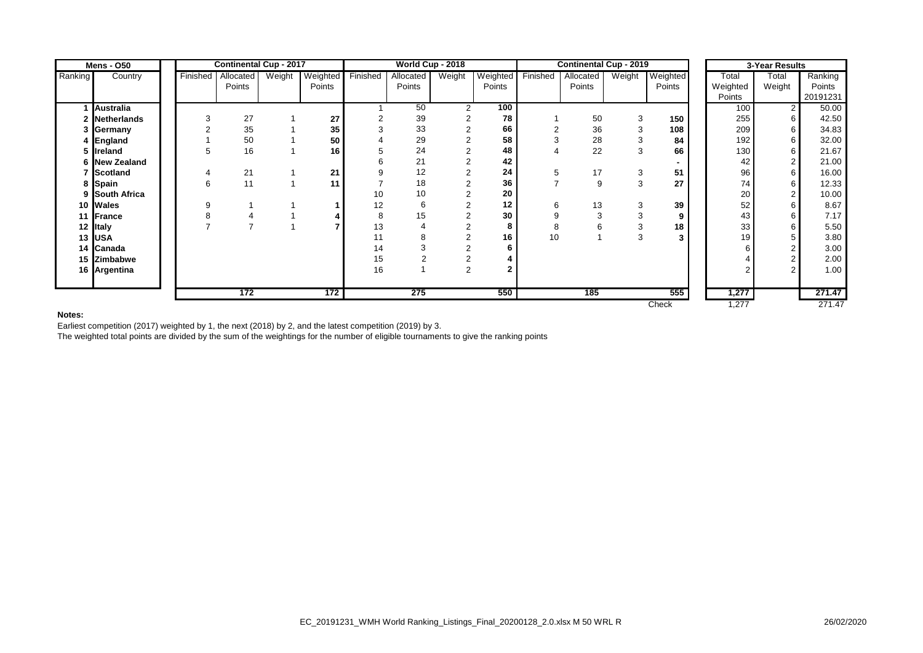|         | <b>Mens - 050</b> |          | <b>Continental Cup - 2017</b> |        |          |          |           | World Cup - 2018 |          |          | <b>Continental Cup - 2019</b> |        |          |          | 3-Year Results |          |
|---------|-------------------|----------|-------------------------------|--------|----------|----------|-----------|------------------|----------|----------|-------------------------------|--------|----------|----------|----------------|----------|
| Ranking | Country           | Finished | Allocated                     | Weight | Weighted | Finished | Allocated | Weight           | Weighted | Finished | Allocated                     | Weight | Weighted | Total    | Total          | Ranking  |
|         |                   |          | Points                        |        | Points   |          | Points    |                  | Points   |          | Points                        |        | Points   | Weighted | Weight         | Points   |
|         |                   |          |                               |        |          |          |           |                  |          |          |                               |        |          | Points   |                | 20191231 |
|         | <b>Australia</b>  |          |                               |        |          |          | 50        | $\overline{2}$   | 100      |          |                               |        |          | 100      |                | 50.00    |
|         | 2 Netherlands     | 3        | 27                            |        | 27       |          | 39        |                  | 78       |          | 50                            | 3      | 150      | 255      | 6              | 42.50    |
|         | 3 Germany         |          | 35                            |        | 35       |          | 33        | $\mathfrak{p}$   | 66       |          | 36                            | 3      | 108      | 209      |                | 34.83    |
|         | 4 England         |          | 50                            |        | 50       |          | 29        | $\overline{2}$   | 58       |          | 28                            | 3      | 84       | 192      | 6              | 32.00    |
|         | 5 Ireland         | 5        | 16                            |        | 16       | 5        | 24        | $\overline{2}$   | 48       |          | 22                            | 3      | 66       | 130      | 6              | 21.67    |
|         | 6 New Zealand     |          |                               |        |          | 6        | 21        | 2                | 42       |          |                               |        |          | 42       |                | 21.00    |
|         | 7 Scotland        |          | 21                            |        | 21       |          | 12        | $\overline{2}$   | 24       |          | 17                            | 3      | 51       | 96       | 6              | 16.00    |
|         | 8 Spain           | 6        | 11                            |        | 11       |          | 18        | $\overline{2}$   | 36       |          | 9                             | 3      | 27       | 74       | 6              | 12.33    |
|         | 9 South Africa    |          |                               |        |          | 10       | 10        | $\overline{2}$   | 20       |          |                               |        |          | 20       | 2              | 10.00    |
|         | 10 Wales          | 9        |                               |        |          | 12       | 6         | 2                | 12       | 6        | 13                            | 3      | 39       | 52       | 6              | 8.67     |
| 11      | <b>France</b>     | 8        |                               |        |          | 8        | 15        | c                | 30       |          |                               | 3      | 9        | 43       | 6              | 7.17     |
|         | 12 Italy          |          |                               |        |          | 13       |           | 2                | 8        | 8        |                               |        | 18       | 33       | 6              | 5.50     |
|         | 13 JUSA           |          |                               |        |          | 11       | 8         |                  | 16       | 10       |                               | 3      | 3        | 19       |                | 3.80     |
|         | 14 Canada         |          |                               |        |          | 14       |           | $\sim$           | 6        |          |                               |        |          |          |                | 3.00     |
|         | 15 Zimbabwe       |          |                               |        |          | 15       |           |                  |          |          |                               |        |          |          |                | 2.00     |
|         | 16 Argentina      |          |                               |        |          | 16       |           | 2                |          |          |                               |        |          |          |                | 1.00     |
|         |                   |          |                               |        |          |          |           |                  |          |          |                               |        |          |          |                |          |
|         |                   |          | 172                           |        | 172      |          | 275       |                  | 550      |          | 185                           |        | 555      | 1,277    |                | 271.47   |
|         |                   |          |                               |        |          |          |           |                  |          |          |                               |        | Check    | 1,277    |                | 271.47   |

Earliest competition (2017) weighted by 1, the next (2018) by 2, and the latest competition (2019) by 3.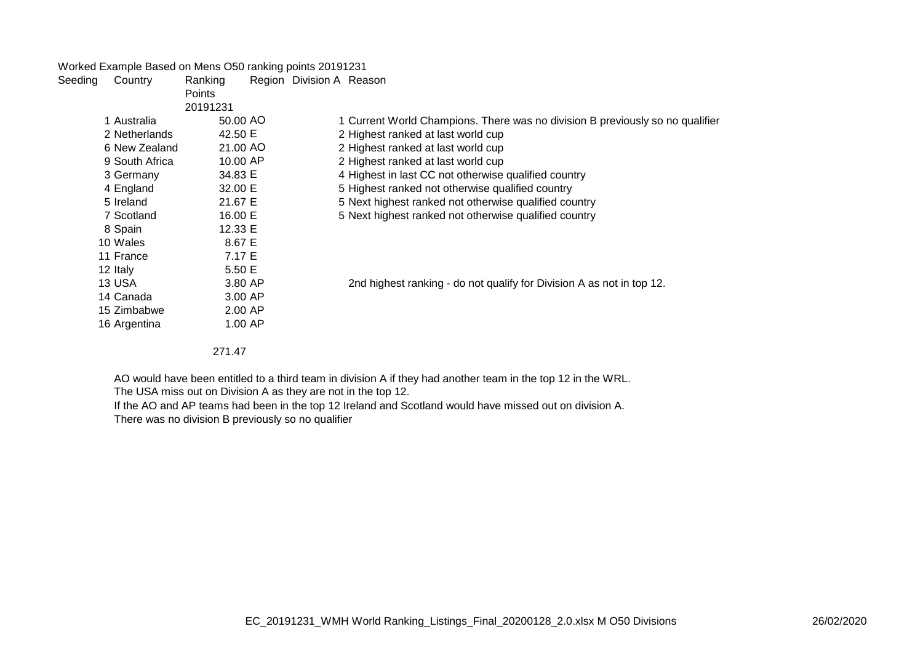| Seeding | Country        | Ranking<br><b>Points</b> |         | Region Division A Reason |                                                                               |
|---------|----------------|--------------------------|---------|--------------------------|-------------------------------------------------------------------------------|
|         |                | 20191231                 |         |                          |                                                                               |
|         | 1 Australia    | 50.00 AO                 |         |                          | 1 Current World Champions. There was no division B previously so no qualifier |
|         | 2 Netherlands  | 42.50 E                  |         |                          | 2 Highest ranked at last world cup                                            |
|         | 6 New Zealand  | 21.00 AO                 |         |                          | 2 Highest ranked at last world cup                                            |
|         | 9 South Africa | 10.00 AP                 |         |                          | 2 Highest ranked at last world cup                                            |
|         | 3 Germany      | 34.83 E                  |         |                          | 4 Highest in last CC not otherwise qualified country                          |
|         | 4 England      | 32.00 E                  |         |                          | 5 Highest ranked not otherwise qualified country                              |
|         | 5 Ireland      | 21.67 E                  |         |                          | 5 Next highest ranked not otherwise qualified country                         |
|         | 7 Scotland     | 16.00 E                  |         |                          | 5 Next highest ranked not otherwise qualified country                         |
|         | 8 Spain        | 12.33 E                  |         |                          |                                                                               |
|         | 10 Wales       | 8.67 E                   |         |                          |                                                                               |
|         | 11 France      | 7.17 E                   |         |                          |                                                                               |
|         | 12 Italy       | 5.50 E                   |         |                          |                                                                               |
|         | 13 USA         | 3.80 AP                  |         |                          | 2nd highest ranking - do not qualify for Division A as not in top 12.         |
|         | 14 Canada      | $3.00$ AP                |         |                          |                                                                               |
|         | 15 Zimbabwe    |                          | 2.00 AP |                          |                                                                               |
|         | 16 Argentina   |                          | 1.00 AP |                          |                                                                               |
|         |                |                          |         |                          |                                                                               |

AO would have been entitled to a third team in division A if they had another team in the top 12 in the WRL. The USA miss out on Division A as they are not in the top 12.

If the AO and AP teams had been in the top 12 Ireland and Scotland would have missed out on division A. There was no division B previously so no qualifier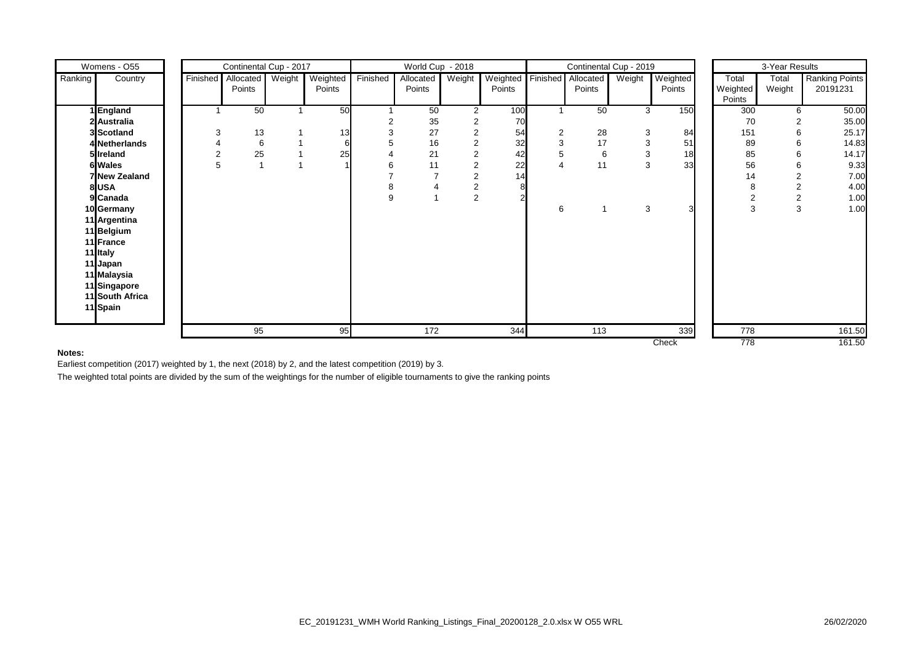| Womens - O55                                                                                                                                                                                         | Continental Cup - 2017                          |        |                    |                                         | World Cup - 2018                                   |                                                                                                                                                                |                                         |                                                 | Continental Cup - 2019         |                                                                       |                                  |                             | 3-Year Results                                              |                                                                                                                                |
|------------------------------------------------------------------------------------------------------------------------------------------------------------------------------------------------------|-------------------------------------------------|--------|--------------------|-----------------------------------------|----------------------------------------------------|----------------------------------------------------------------------------------------------------------------------------------------------------------------|-----------------------------------------|-------------------------------------------------|--------------------------------|-----------------------------------------------------------------------|----------------------------------|-----------------------------|-------------------------------------------------------------|--------------------------------------------------------------------------------------------------------------------------------|
| Ranking<br>Country                                                                                                                                                                                   | Finished Allocated<br>Points                    | Weight | Weighted<br>Points | Finished                                | Allocated<br>Points                                | Weight                                                                                                                                                         | Weighted Finished<br>Points             |                                                 | Allocated<br>Points            | Weight                                                                | Weighted<br>Points               | Total<br>Weighted<br>Points | Total<br>Weight                                             | <b>Ranking Points</b><br>20191231                                                                                              |
| 1England<br>2 Australia<br>3 Scotland<br>4 Netherlands<br>5 Ireland<br>6 Wales<br>7 New Zealand<br>8USA<br>9 Canada<br>10 Germany<br>11 Argentina<br>11 Belgium<br>11 France<br>11 Italy<br>11 Japan | 50<br>13<br>3<br>6<br>25<br>$\overline{2}$<br>5 |        | 50<br>13<br>25     | $\overline{2}$<br>3<br>5<br>6<br>8<br>9 | 50<br>35<br>27<br>16<br>21<br>11<br>$\overline{ }$ | $\overline{2}$<br>$\overline{c}$<br>$\overline{2}$<br>$\overline{c}$<br>$\overline{2}$<br>$\overline{2}$<br>$\overline{2}$<br>$\overline{2}$<br>$\overline{2}$ | 100<br>70<br>54<br>32<br>42<br>22<br>14 | $\overline{2}$<br>3<br>5<br>$\overline{4}$<br>6 | 50<br>28<br>17<br>6<br>11<br>1 | $\mathbf{3}$<br>3<br>$\mathsf 3$<br>$\mathbf{3}$<br>$\mathbf{3}$<br>3 | 150<br>84<br>51<br>18<br>33<br>3 | 300<br>151                  | 70<br>2<br>89<br>85<br>56<br>14<br>8<br>$\overline{2}$<br>3 | 50.00<br>6<br>35.00<br>25.17<br>6<br>14.83<br>6<br>14.17<br>6<br>6<br>9.33<br>2<br>7.00<br>2<br>4.00<br>2<br>1.00<br>3<br>1.00 |
| 11 Malaysia<br>11 Singapore<br>11 South Africa<br>11 Spain                                                                                                                                           | 95                                              |        | 95                 |                                         | 172                                                |                                                                                                                                                                | 344                                     |                                                 | 113                            |                                                                       | 339<br>Check                     | 778<br>778                  |                                                             | 161.50<br>161.50                                                                                                               |

Earliest competition (2017) weighted by 1, the next (2018) by 2, and the latest competition (2019) by 3.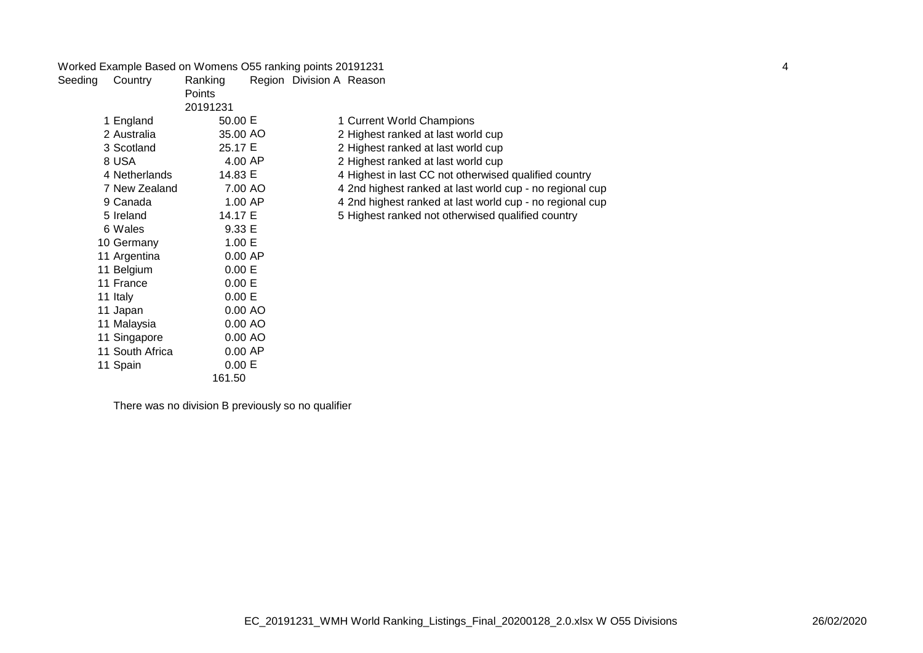|         | Worked Example Based on Womens O55 ranking points 20191231 |           |                          |                                                          | 4 |
|---------|------------------------------------------------------------|-----------|--------------------------|----------------------------------------------------------|---|
| Seeding | Country                                                    | Ranking   | Region Division A Reason |                                                          |   |
|         |                                                            | Points    |                          |                                                          |   |
|         |                                                            | 20191231  |                          |                                                          |   |
|         | 1 England                                                  | 50.00 E   |                          | 1 Current World Champions                                |   |
|         | 2 Australia                                                | 35.00 AO  |                          | 2 Highest ranked at last world cup                       |   |
|         | 3 Scotland                                                 | 25.17 E   |                          | 2 Highest ranked at last world cup                       |   |
|         | 8 USA                                                      | 4.00 AP   |                          | 2 Highest ranked at last world cup                       |   |
|         | 4 Netherlands                                              | 14.83 E   |                          | 4 Highest in last CC not otherwised qualified country    |   |
|         | 7 New Zealand                                              | 7.00 AO   |                          | 4 2nd highest ranked at last world cup - no regional cup |   |
|         | 9 Canada                                                   | 1.00 AP   |                          | 4 2nd highest ranked at last world cup - no regional cup |   |
|         | 5 Ireland                                                  | 14.17 E   |                          | 5 Highest ranked not otherwised qualified country        |   |
|         | 6 Wales                                                    | 9.33 E    |                          |                                                          |   |
|         | 10 Germany                                                 | 1.00 E    |                          |                                                          |   |
|         | 11 Argentina                                               | $0.00$ AP |                          |                                                          |   |
|         | 11 Belgium                                                 | 0.00 E    |                          |                                                          |   |
|         | 11 France                                                  | 0.00 E    |                          |                                                          |   |
|         | 11 Italy                                                   | 0.00 E    |                          |                                                          |   |
|         | 11 Japan                                                   | $0.00$ AO |                          |                                                          |   |
|         | 11 Malaysia                                                | $0.00$ AO |                          |                                                          |   |
|         | 11 Singapore                                               | $0.00$ AO |                          |                                                          |   |
|         | 11 South Africa                                            | $0.00$ AP |                          |                                                          |   |
|         | 11 Spain                                                   | 0.00 E    |                          |                                                          |   |
|         |                                                            | 161.50    |                          |                                                          |   |
|         |                                                            |           |                          |                                                          |   |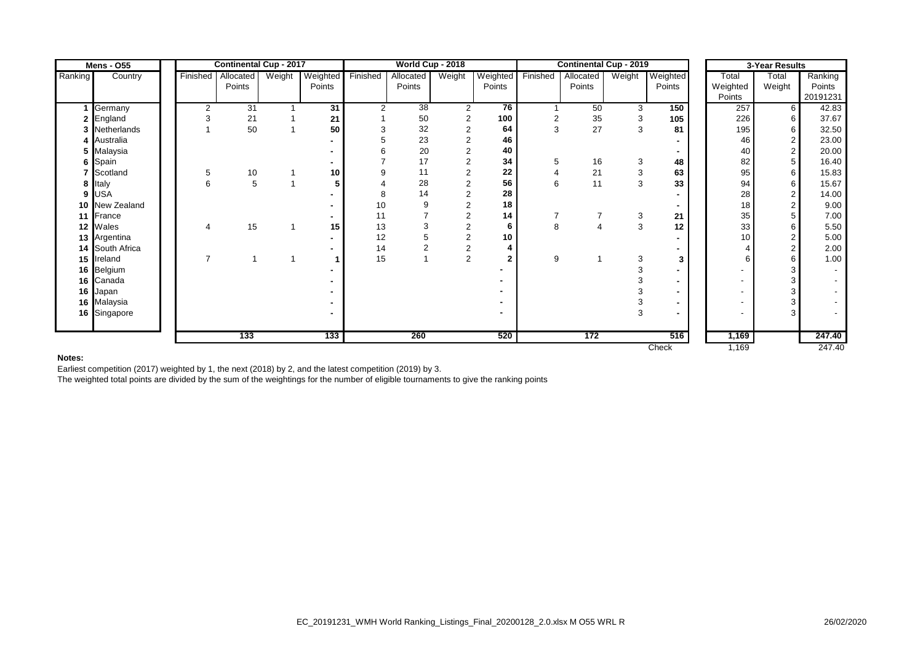|         | <b>Mens - 055</b> |          | <b>Continental Cup - 2017</b> |        |          |          |                 | World Cup - 2018 |          |          | <b>Continental Cup - 2019</b> |        |          |                    | 3-Year Results |                    |
|---------|-------------------|----------|-------------------------------|--------|----------|----------|-----------------|------------------|----------|----------|-------------------------------|--------|----------|--------------------|----------------|--------------------|
| Ranking | Country           | Finished | Allocated                     | Weight | Weighted | Finished | Allocated       | Weight           | Weighted | Finished | Allocated                     | Weight | Weighted | Total              | Total          | Ranking            |
|         |                   |          | Points                        |        | Points   |          | Points          |                  | Points   |          | Points                        |        | Points   | Weighted<br>Points | Weight         | Points<br>20191231 |
|         |                   | 2        | 31                            |        |          | 2        | $\overline{38}$ | 2                | 76       |          | 50                            | 3      |          | 257                | 6              | 42.83              |
|         | Germany           |          |                               |        | 31       |          | 50              | $\overline{2}$   | 100      |          |                               |        | 150      | 226                |                |                    |
|         | 2 England         |          | 21                            |        | 21       |          | 32              |                  | 64       |          | 35                            | 3      | 105      |                    |                | 37.67              |
|         | 3 Netherlands     |          | 50                            |        | 50       | 3        |                 | $\overline{2}$   |          |          | 27                            | 3      | 81       | 195                | 6              | 32.50              |
|         | Australia         |          |                               |        |          | 5        | 23              | $\overline{2}$   | 46       |          |                               |        |          | 46                 |                | 23.00              |
|         | 5 Malaysia        |          |                               |        |          |          | 20              | $\overline{2}$   | 40       |          |                               |        |          | 40                 | 2              | 20.00              |
|         | 6 Spain           |          |                               |        |          |          | 17              | $\overline{2}$   | 34       | 5        | 16                            | 3      | 48       | 82                 |                | 16.40              |
|         | Scotland          | 5        | 10                            |        | 10       | 9        | 11              | $\overline{2}$   | 22       |          | 21                            | 3      | 63       | 95                 | 6              | 15.83              |
|         | 8 Italy           | 6        | 5                             |        | 5        |          | 28              | $\overline{2}$   | 56       | 6        | 11                            | 3      | 33       | 94                 | 6              | 15.67              |
|         | 9 USA             |          |                               |        |          | 8        | 14              | $\overline{2}$   | 28       |          |                               |        |          | 28                 |                | 14.00              |
|         | 10 New Zealand    |          |                               |        |          | 10       | 9               | $\overline{2}$   | 18       |          |                               |        |          | 18                 |                | 9.00               |
| 11      | France            |          |                               |        |          | 11       |                 | $\overline{2}$   | 14       |          |                               | 3      | 21       | 35                 |                | 7.00               |
|         | 12 Wales          | 4        | 15                            |        | 15       | 13       | 3               | $\overline{2}$   | 6        | 8        | 4                             | 3      | 12       | 33                 |                | 5.50               |
|         | 13 Argentina      |          |                               |        |          | 12       |                 | 2                | 10       |          |                               |        |          | 10 <sup>10</sup>   | $\overline{2}$ | 5.00               |
|         | 14 South Africa   |          |                               |        |          | 14       | 2               | 2                |          |          |                               |        |          |                    |                | 2.00               |
| 15      | <b>I</b> reland   | 7        |                               |        |          | 15       |                 | $\overline{2}$   | 2        | 9        |                               | 3      | 3        |                    | 6              | 1.00               |
|         | 16 Belgium        |          |                               |        |          |          |                 |                  |          |          |                               |        |          |                    | 3              |                    |
|         | 16 Canada         |          |                               |        |          |          |                 |                  |          |          |                               |        |          |                    | 3              |                    |
| 16      | Japan             |          |                               |        |          |          |                 |                  |          |          |                               |        |          |                    |                |                    |
|         | 16 Malaysia       |          |                               |        |          |          |                 |                  |          |          |                               |        |          |                    |                |                    |
|         | 16 Singapore      |          |                               |        |          |          |                 |                  |          |          |                               |        |          |                    | 3              |                    |
|         |                   |          |                               |        |          |          |                 |                  |          |          |                               |        |          |                    |                |                    |
|         |                   |          | 133                           |        | 133      |          | 260             |                  | 520      |          | 172                           |        | 516      | 1,169              |                | 247.40             |
|         |                   |          |                               |        |          |          |                 |                  |          |          |                               |        | Check    | 1,169              |                | 247.40             |

Earliest competition (2017) weighted by 1, the next (2018) by 2, and the latest competition (2019) by 3.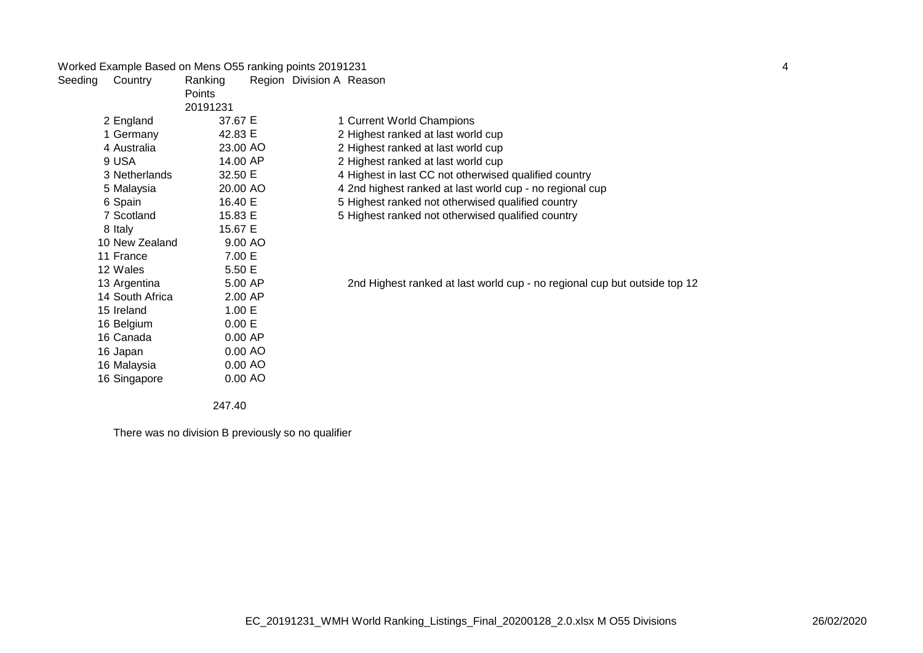|         | Worked Example Based on Mens O55 ranking points 20191231 |                                      |                          |                                                                           | 4 |
|---------|----------------------------------------------------------|--------------------------------------|--------------------------|---------------------------------------------------------------------------|---|
| Seeding | Country                                                  | Ranking<br><b>Points</b><br>20191231 | Region Division A Reason |                                                                           |   |
|         | 2 England                                                | 37.67 E                              |                          | 1 Current World Champions                                                 |   |
|         | 1 Germany                                                | 42.83 E                              |                          | 2 Highest ranked at last world cup                                        |   |
|         | 4 Australia                                              | 23.00 AO                             |                          | 2 Highest ranked at last world cup                                        |   |
|         | 9 USA                                                    | 14.00 AP                             |                          | 2 Highest ranked at last world cup                                        |   |
|         | 3 Netherlands                                            | 32.50 E                              |                          | 4 Highest in last CC not otherwised qualified country                     |   |
|         | 5 Malaysia                                               | 20.00 AO                             |                          | 4 2nd highest ranked at last world cup - no regional cup                  |   |
|         | 6 Spain                                                  | 16.40 E                              |                          | 5 Highest ranked not otherwised qualified country                         |   |
|         | 7 Scotland                                               | 15.83 E                              |                          | 5 Highest ranked not otherwised qualified country                         |   |
|         | 8 Italy                                                  | 15.67 E                              |                          |                                                                           |   |
|         | 10 New Zealand                                           | 9.00 AO                              |                          |                                                                           |   |
|         | 11 France                                                | 7.00 E                               |                          |                                                                           |   |
|         | 12 Wales                                                 | 5.50 E                               |                          |                                                                           |   |
|         | 13 Argentina                                             | 5.00 AP                              |                          | 2nd Highest ranked at last world cup - no regional cup but outside top 12 |   |
|         | 14 South Africa                                          | 2.00 AP                              |                          |                                                                           |   |
|         | 15 Ireland                                               | 1.00 E                               |                          |                                                                           |   |
|         | 16 Belgium                                               | 0.00 E                               |                          |                                                                           |   |
|         | 16 Canada                                                | $0.00$ AP                            |                          |                                                                           |   |
|         | 16 Japan                                                 | $0.00$ AO                            |                          |                                                                           |   |
|         | 16 Malaysia                                              | $0.00$ AO                            |                          |                                                                           |   |
|         | 16 Singapore                                             | $0.00$ AO                            |                          |                                                                           |   |
|         |                                                          |                                      |                          |                                                                           |   |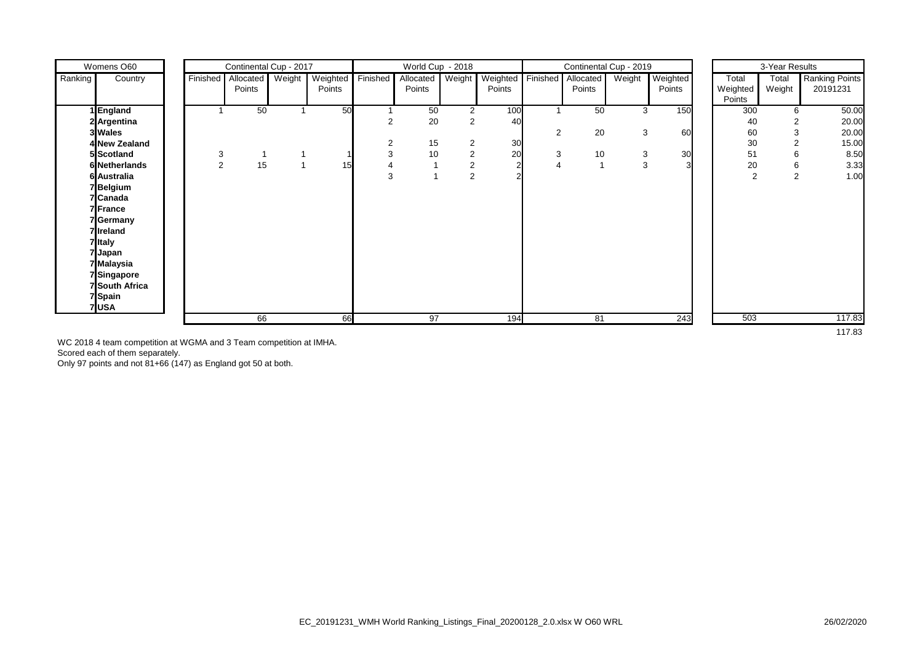|         | Womens O60            |          | Continental Cup - 2017 |        |                    |                | World Cup - 2018    |                |                    |          | Continental Cup - 2019 |        |                    |                             | 3-Year Results  |                                   |
|---------|-----------------------|----------|------------------------|--------|--------------------|----------------|---------------------|----------------|--------------------|----------|------------------------|--------|--------------------|-----------------------------|-----------------|-----------------------------------|
| Ranking | Country               | Finished | Allocated<br>Points    | Weight | Weighted<br>Points | Finished       | Allocated<br>Points | Weight         | Weighted<br>Points | Finished | Allocated<br>Points    | Weight | Weighted<br>Points | Total<br>Weighted<br>Points | Total<br>Weight | <b>Ranking Points</b><br>20191231 |
|         | l England             |          | 50                     |        | 50                 |                | 50                  | 2              | 100                |          | 50                     | 3      | 150                | 300                         | 6               | 50.00                             |
|         | 2 Argentina           |          |                        |        |                    | $\overline{2}$ | 20                  | 2              | 40                 |          |                        |        |                    | 40                          | 2               | 20.00                             |
|         | 3 Wales               |          |                        |        |                    |                |                     |                |                    | 2        | 20                     | 3      | 60                 | 60                          | 3               | 20.00                             |
|         | 4 New Zealand         |          |                        |        |                    | 2              | 15                  | 2              | 30                 |          |                        |        |                    | 30                          | 2               | 15.00                             |
|         | 5 Scotland            | 3        |                        |        |                    | 3              | 10                  | $\overline{2}$ | 20                 | 3        | 10                     | 3      | 30                 | 51                          | 6               | 8.50                              |
|         | 6 Netherlands         | 2        | 15                     |        | 15                 |                |                     | $\overline{2}$ | $\overline{2}$     | 4        | $\overline{1}$         | 3      | 3                  | 20                          | 6               | 3.33                              |
|         | 6 Australia           |          |                        |        |                    | 3              |                     | $\overline{2}$ |                    |          |                        |        |                    | 2                           | 2               | 1.00                              |
|         | 7 Belgium             |          |                        |        |                    |                |                     |                |                    |          |                        |        |                    |                             |                 |                                   |
|         | 7Canada               |          |                        |        |                    |                |                     |                |                    |          |                        |        |                    |                             |                 |                                   |
|         | 7 France              |          |                        |        |                    |                |                     |                |                    |          |                        |        |                    |                             |                 |                                   |
|         | 7Germany              |          |                        |        |                    |                |                     |                |                    |          |                        |        |                    |                             |                 |                                   |
|         | 7 Ireland             |          |                        |        |                    |                |                     |                |                    |          |                        |        |                    |                             |                 |                                   |
|         | 7 Italy               |          |                        |        |                    |                |                     |                |                    |          |                        |        |                    |                             |                 |                                   |
|         | 7 Japan               |          |                        |        |                    |                |                     |                |                    |          |                        |        |                    |                             |                 |                                   |
|         | 7 Malaysia            |          |                        |        |                    |                |                     |                |                    |          |                        |        |                    |                             |                 |                                   |
|         | 7 Singapore           |          |                        |        |                    |                |                     |                |                    |          |                        |        |                    |                             |                 |                                   |
|         | <b>7</b> South Africa |          |                        |        |                    |                |                     |                |                    |          |                        |        |                    |                             |                 |                                   |
|         | 7Spain                |          |                        |        |                    |                |                     |                |                    |          |                        |        |                    |                             |                 |                                   |
|         | 7 USA                 |          |                        |        |                    |                |                     |                |                    |          |                        |        |                    |                             |                 |                                   |
|         |                       |          | 66                     |        | 66                 |                | 97                  |                | 194                |          | 81                     |        | 243                | 503                         |                 | 117.83                            |

WC 2018 4 team competition at WGMA and 3 Team competition at IMHA.

Scored each of them separately.

Only 97 points and not 81+66 (147) as England got 50 at both.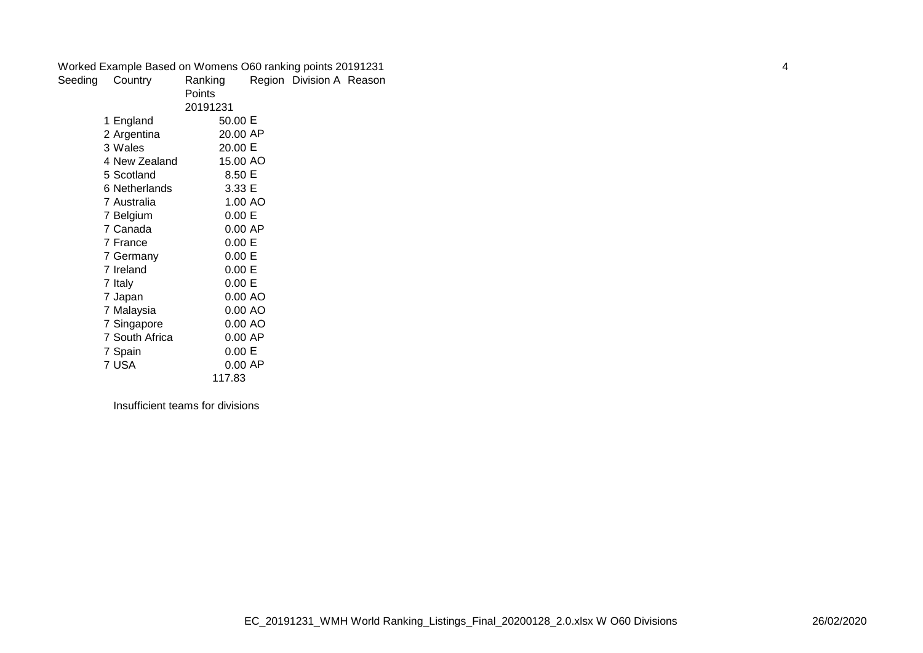|         | Worked Example Based on Womens O60 ranking points 20191231 |           |           |                          |  |
|---------|------------------------------------------------------------|-----------|-----------|--------------------------|--|
| Seeding | Country                                                    | Ranking   |           | Region Division A Reason |  |
|         |                                                            | Points    |           |                          |  |
|         |                                                            | 20191231  |           |                          |  |
|         | 1 England                                                  | 50.00 E   |           |                          |  |
|         | 2 Argentina                                                | 20.00 AP  |           |                          |  |
|         | 3 Wales                                                    | 20.00 E   |           |                          |  |
|         | 4 New Zealand                                              | 15.00 AO  |           |                          |  |
|         | 5 Scotland                                                 | 8.50 E    |           |                          |  |
|         | 6 Netherlands                                              | 3.33 E    |           |                          |  |
|         | 7 Australia                                                |           | 1.00 AO   |                          |  |
|         | 7 Belgium                                                  | 0.00 E    |           |                          |  |
|         | 7 Canada                                                   | $0.00$ AP |           |                          |  |
|         | 7 France                                                   | 0.00 E    |           |                          |  |
|         | 7 Germany                                                  | 0.00 E    |           |                          |  |
|         | 7 Ireland                                                  | 0.00 E    |           |                          |  |
|         | 7 Italy                                                    | 0.00 E    |           |                          |  |
|         | 7 Japan                                                    | $0.00$ AO |           |                          |  |
|         | 7 Malaysia                                                 |           | $0.00$ AO |                          |  |
|         | 7 Singapore                                                | $0.00$ AO |           |                          |  |
|         | 7 South Africa                                             | $0.00$ AP |           |                          |  |
|         | 7 Spain                                                    | 0.00 E    |           |                          |  |
|         | 7 USA                                                      | $0.00$ AP |           |                          |  |
|         |                                                            | 117.83    |           |                          |  |

Insufficient teams for divisions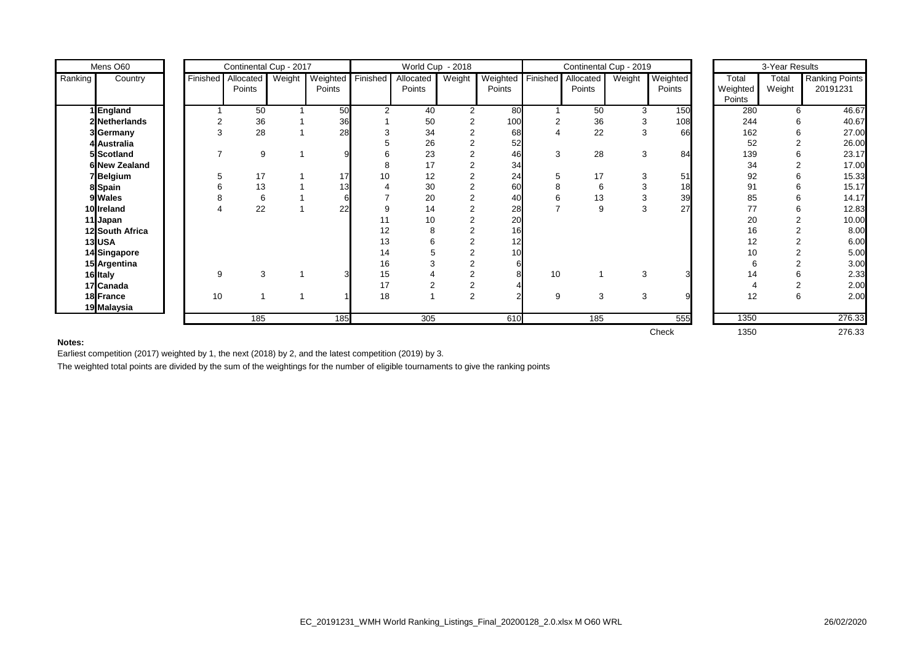| Mens O60           |          | Continental Cup - 2017 |        |                    |          | World Cup - 2018    |                |                             |                | Continental Cup - 2019 |              |                    |                             | 3-Year Results  |                                   |  |
|--------------------|----------|------------------------|--------|--------------------|----------|---------------------|----------------|-----------------------------|----------------|------------------------|--------------|--------------------|-----------------------------|-----------------|-----------------------------------|--|
| Ranking<br>Country | Finished | Allocated<br>Points    | Weight | Weighted<br>Points | Finished | Allocated<br>Points | Weight         | Weighted Finished<br>Points |                | Allocated<br>Points    | Weight       | Weighted<br>Points | Total<br>Weighted<br>Points | Total<br>Weight | <b>Ranking Points</b><br>20191231 |  |
| 1England           |          | 50                     |        | 50                 | 2        | 40                  | 2              | 80                          |                | 50                     | 3            | 150                | 280                         |                 | 46.67<br>6                        |  |
| 2 Netherlands      |          | 36                     |        | 36                 |          | 50                  | 2              | 100                         | 2              | 36                     | $\mathbf{3}$ | 108                | 244                         |                 | 40.67<br>6                        |  |
| 3 Germany          |          | 28                     |        | 28                 | 3        | 34                  | $\overline{2}$ | 68                          | 4              | 22                     | 3            | 66                 | 162                         |                 | 27.00<br>6                        |  |
| 4 Australia        |          |                        |        |                    | 5        | 26                  | $\overline{2}$ | 52                          |                |                        |              |                    |                             | 52              | 26.00<br>$\overline{2}$           |  |
| 5 Scotland         |          | 9                      |        |                    | 6        | 23                  | $\overline{c}$ | 46                          | 3              | 28                     | 3            | 84                 |                             | 139             | 23.17<br>6                        |  |
| 6 New Zealand      |          |                        |        |                    | 8        | 17                  | 2              | 34                          |                |                        |              |                    |                             | 34              | 17.00<br>$\overline{2}$           |  |
| 7Belgium           |          | 17                     |        | 17                 | 10       | 12                  | $\overline{2}$ | 24                          | 5              | 17                     | 3            | 51                 |                             | 92              | 15.33<br>6                        |  |
| 8Spain             |          | 13                     |        | 13                 |          | 30                  | $\overline{c}$ | 60                          | 8              | 6                      | 3            | 18                 |                             | 91              | 15.17<br>6                        |  |
| 9 Wales            |          | 6                      |        |                    |          | 20                  | 2              | 40                          | 6              | 13                     | 3            | 39                 |                             | 85              | 14.17<br>6                        |  |
| 10 Ireland         |          | 22                     |        | 22                 | 9        | 14                  | $\overline{2}$ | 28                          | $\overline{ }$ | 9                      | 3            | 27                 |                             | 77              | 12.83<br>6                        |  |
| 11 Japan           |          |                        |        |                    | 11       | 10                  | 2              | 20                          |                |                        |              |                    |                             | 20              | 10.00<br>2                        |  |
| 12 South Africa    |          |                        |        |                    | 12       | 8                   | $\overline{2}$ | 16                          |                |                        |              |                    |                             | 16              | 8.00<br>⌒                         |  |
| 13USA              |          |                        |        |                    | 13       | 6                   | 2              | 12                          |                |                        |              |                    |                             | 12              | 6.00                              |  |
| 14 Singapore       |          |                        |        |                    | 14       |                     | 2              | 10                          |                |                        |              |                    |                             | 10              | 5.00                              |  |
| 15 Argentina       |          |                        |        |                    | 16       |                     | 2              |                             |                |                        |              |                    |                             | 6               | 3.00<br>2                         |  |
| 16 Italy           | 9        | 3                      |        |                    | 15       |                     | $\overline{2}$ |                             | 10             |                        | 3            |                    |                             | 14              | 2.33<br>6                         |  |
| 17 Canada          |          |                        |        |                    | 17       |                     | 2              |                             |                |                        |              |                    |                             |                 | 2.00<br>2                         |  |
| 18 France          | 10       |                        |        |                    | 18       |                     | $\overline{2}$ | 2                           | 9              | 3                      | 3            | 9                  |                             | 12              | 2.00<br>6                         |  |
| 19 Malaysia        |          |                        |        |                    |          |                     |                |                             |                |                        |              |                    |                             |                 |                                   |  |
|                    |          | 185                    |        | 185                |          | 305                 |                | 610                         |                | 185                    |              | 555                | 1350                        |                 | 276.33                            |  |
|                    |          |                        |        |                    |          |                     |                |                             |                |                        |              | Check              | 1350                        |                 | 276.33                            |  |

Earliest competition (2017) weighted by 1, the next (2018) by 2, and the latest competition (2019) by 3.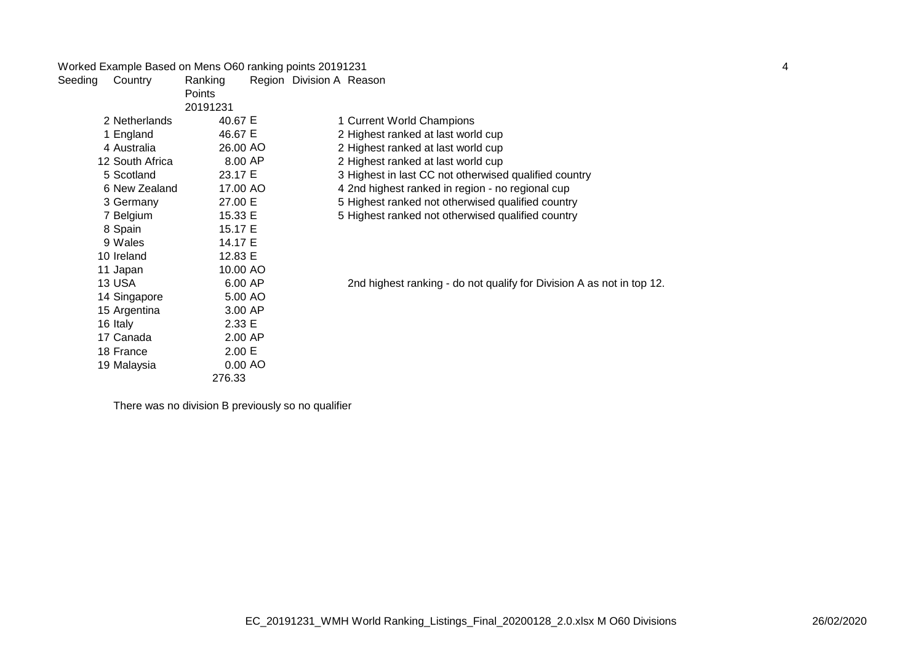|         | Worked Example Based on Mens O60 ranking points 20191231 |           |                          |                                                                       | 4 |
|---------|----------------------------------------------------------|-----------|--------------------------|-----------------------------------------------------------------------|---|
| Seeding | Country                                                  | Ranking   | Region Division A Reason |                                                                       |   |
|         |                                                          | Points    |                          |                                                                       |   |
|         |                                                          | 20191231  |                          |                                                                       |   |
|         | 2 Netherlands                                            | 40.67 E   |                          | 1 Current World Champions                                             |   |
|         | 1 England                                                | 46.67 E   |                          | 2 Highest ranked at last world cup                                    |   |
|         | 4 Australia                                              | 26.00 AO  |                          | 2 Highest ranked at last world cup                                    |   |
|         | 12 South Africa                                          | 8.00 AP   |                          | 2 Highest ranked at last world cup                                    |   |
|         | 5 Scotland                                               | 23.17 E   |                          | 3 Highest in last CC not otherwised qualified country                 |   |
|         | 6 New Zealand                                            | 17.00 AO  |                          | 4 2nd highest ranked in region - no regional cup                      |   |
|         | 3 Germany                                                | 27.00 E   |                          | 5 Highest ranked not otherwised qualified country                     |   |
|         | 7 Belgium                                                | 15.33 E   |                          | 5 Highest ranked not otherwised qualified country                     |   |
|         | 8 Spain                                                  | 15.17 E   |                          |                                                                       |   |
|         | 9 Wales                                                  | 14.17 E   |                          |                                                                       |   |
|         | 10 Ireland                                               | 12.83 E   |                          |                                                                       |   |
|         | 11 Japan                                                 | 10.00 AO  |                          |                                                                       |   |
|         | 13 USA                                                   | 6.00 AP   |                          | 2nd highest ranking - do not qualify for Division A as not in top 12. |   |
|         | 14 Singapore                                             | 5.00 AO   |                          |                                                                       |   |
|         | 15 Argentina                                             | 3.00 AP   |                          |                                                                       |   |
|         | 16 Italy                                                 | 2.33 E    |                          |                                                                       |   |
|         | 17 Canada                                                | 2.00 AP   |                          |                                                                       |   |
|         | 18 France                                                | 2.00 E    |                          |                                                                       |   |
|         | 19 Malaysia                                              | $0.00$ AO |                          |                                                                       |   |
|         |                                                          | 276.33    |                          |                                                                       |   |
|         |                                                          |           |                          |                                                                       |   |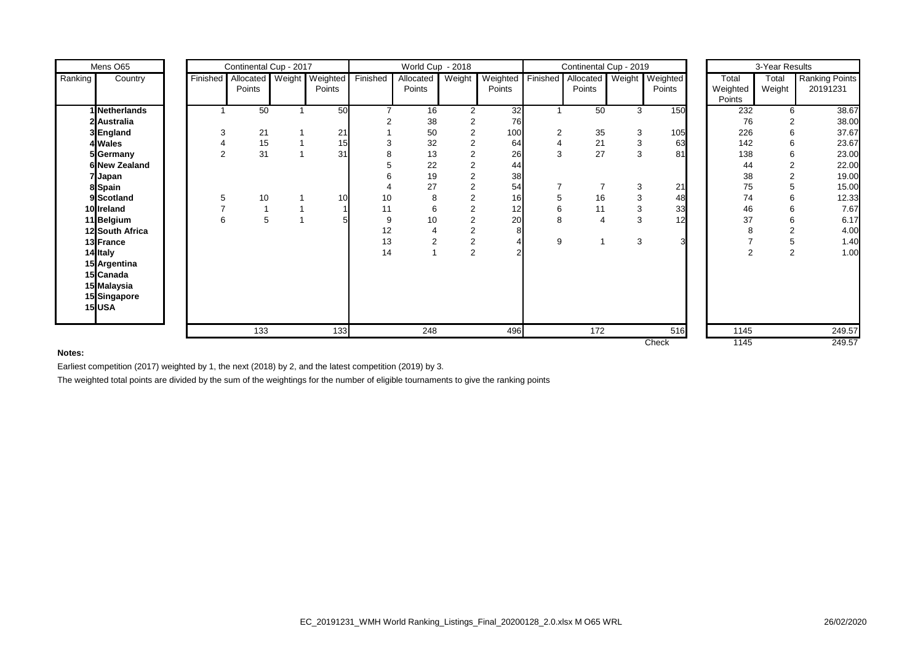|         | Mens O65             |                | Continental Cup - 2017 |        |                    |          | World Cup - 2018    |                |                    |          | Continental Cup - 2019 |              |                    |                             | 3-Year Results  |                                   |
|---------|----------------------|----------------|------------------------|--------|--------------------|----------|---------------------|----------------|--------------------|----------|------------------------|--------------|--------------------|-----------------------------|-----------------|-----------------------------------|
| Ranking | Country              | Finished       | Allocated<br>Points    | Weight | Weighted<br>Points | Finished | Allocated<br>Points | Weight         | Weighted<br>Points | Finished | Allocated<br>Points    | Weight       | Weighted<br>Points | Total<br>Weighted<br>Points | Total<br>Weight | <b>Ranking Points</b><br>20191231 |
|         | 1 Netherlands        |                | 50                     |        | 50                 |          | 16                  | $\overline{2}$ | 32                 |          | 50                     | 3            | 150                | 232                         | 6               | 38.67                             |
|         | 2 Australia          |                |                        |        |                    |          | 38                  | 2              | 76                 |          |                        |              |                    | 76                          | $\overline{2}$  | 38.00                             |
|         | 3England             | 3              | 21                     |        | 21                 |          | 50                  | 2              | 100                | 2        | 35                     | 3            | 105                | 226                         | 6               | 37.67                             |
|         | 4 Wales              |                | 15                     |        | 15                 | 3        | 32                  | $\overline{2}$ | 64                 | 4        | 21                     | $\mathbf{3}$ | 63                 | 142                         | 6               | 23.67                             |
|         | 5 Germany            | $\overline{2}$ | 31                     |        | 31                 | 8        | 13                  | 2              | 26                 | 3        | 27                     | $\mathbf{3}$ | 81                 | 138                         | 6               | 23.00                             |
|         | <b>6 New Zealand</b> |                |                        |        |                    | 5        | 22                  | 2              | 44                 |          |                        |              |                    | 44                          | $\mathbf{2}$    | 22.00                             |
|         | 7 Japan              |                |                        |        |                    | 6        | 19                  | $\overline{2}$ | 38                 |          |                        |              |                    | 38                          | $\overline{2}$  | 19.00                             |
|         | 8 Spain              |                |                        |        |                    |          | 27                  | 2              | 54                 |          | $\overline{7}$         | 3            | 21                 | 75                          | 5               | 15.00                             |
|         | 9 Scotland           | 5              | 10                     |        | 10                 | 10       | 8                   | 2              | 16                 | 5        | 16                     | $\mathsf 3$  | 48                 | 74                          | 6               | 12.33                             |
|         | 10 Ireland           | $\overline{7}$ |                        |        |                    | 11       | 6                   | $\overline{2}$ | 12                 | 6        | 11                     | $\mathsf 3$  | 33                 | 46                          | 6               | 7.67                              |
|         | 11 Belgium           | 6              | 5                      |        |                    | 9        | 10                  | 2              | 20                 | 8        | 4                      | $\mathsf 3$  | 12                 | 37                          | 6               | 6.17                              |
|         | 12 South Africa      |                |                        |        |                    | 12       |                     | 2              |                    |          |                        |              |                    | 8                           | $\mathbf{2}$    | 4.00                              |
|         | 13 France            |                |                        |        |                    | 13       |                     | 2              |                    | 9        |                        | 3            | 3                  |                             | 5               | 1.40                              |
|         | 14 Italy             |                |                        |        |                    | 14       |                     | 2              |                    |          |                        |              |                    | $\overline{2}$              | $\overline{2}$  | 1.00                              |
|         | 15 Argentina         |                |                        |        |                    |          |                     |                |                    |          |                        |              |                    |                             |                 |                                   |
|         | 15 Canada            |                |                        |        |                    |          |                     |                |                    |          |                        |              |                    |                             |                 |                                   |
|         | 15 Malaysia          |                |                        |        |                    |          |                     |                |                    |          |                        |              |                    |                             |                 |                                   |
|         | 15 Singapore         |                |                        |        |                    |          |                     |                |                    |          |                        |              |                    |                             |                 |                                   |
|         | 15USA                |                |                        |        |                    |          |                     |                |                    |          |                        |              |                    |                             |                 |                                   |
|         |                      |                | 133                    |        | 133                |          | 248                 |                | 496                |          | 172                    |              | 516                | 1145                        |                 | 249.57                            |
|         |                      |                |                        |        |                    |          |                     |                |                    |          |                        |              | Check              | 1145                        |                 | 249.57                            |

Earliest competition (2017) weighted by 1, the next (2018) by 2, and the latest competition (2019) by 3.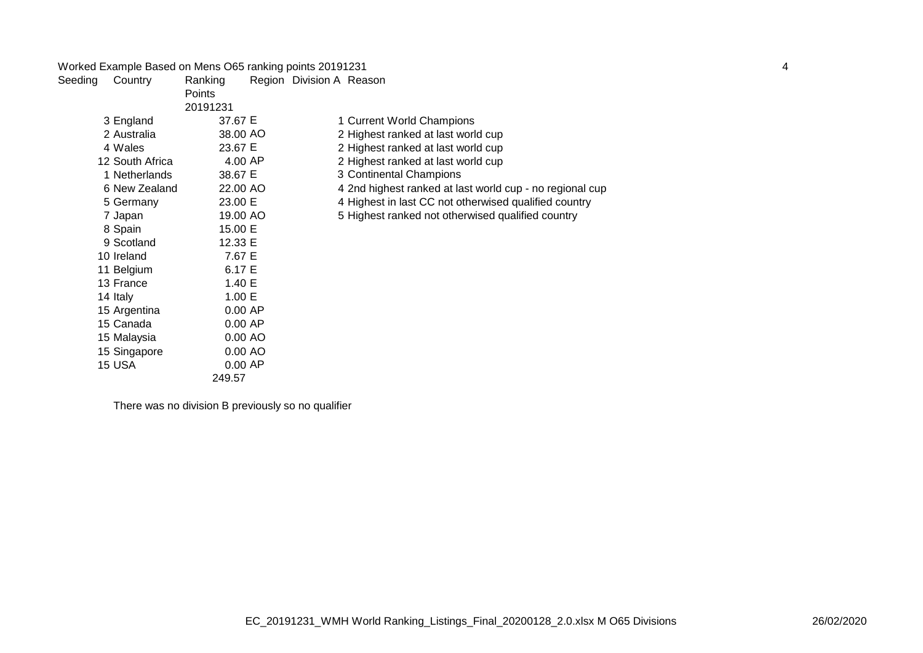|                                                                                                                                                                                                                                                            |                                                                                                                                                                                                           | Worked Example Based on Mens O65 ranking points 20191231                                                                                                                                                                                                                                                                                         | 4 |
|------------------------------------------------------------------------------------------------------------------------------------------------------------------------------------------------------------------------------------------------------------|-----------------------------------------------------------------------------------------------------------------------------------------------------------------------------------------------------------|--------------------------------------------------------------------------------------------------------------------------------------------------------------------------------------------------------------------------------------------------------------------------------------------------------------------------------------------------|---|
| Seeding<br>Country                                                                                                                                                                                                                                         | Ranking<br>Points<br>20191231                                                                                                                                                                             | Region Division A Reason                                                                                                                                                                                                                                                                                                                         |   |
| 3 England<br>2 Australia<br>4 Wales<br>12 South Africa<br>1 Netherlands<br>6 New Zealand<br>5 Germany<br>7 Japan<br>8 Spain<br>9 Scotland<br>10 Ireland<br>11 Belgium<br>13 France<br>14 Italy<br>15 Argentina<br>15 Canada<br>15 Malaysia<br>15 Singapore | 37.67 E<br>38.00 AO<br>23.67 E<br>4.00 AP<br>38.67 E<br>22.00 AO<br>23.00 E<br>19.00 AO<br>15.00 E<br>12.33 E<br>7.67 E<br>6.17 E<br>1.40 E<br>1.00 E<br>$0.00$ AP<br>$0.00$ AP<br>$0.00$ AO<br>$0.00$ AO | 1 Current World Champions<br>2 Highest ranked at last world cup<br>2 Highest ranked at last world cup<br>2 Highest ranked at last world cup<br>3 Continental Champions<br>4 2nd highest ranked at last world cup - no regional cup<br>4 Highest in last CC not otherwised qualified country<br>5 Highest ranked not otherwised qualified country |   |

249.57

15 USA 0.00 AP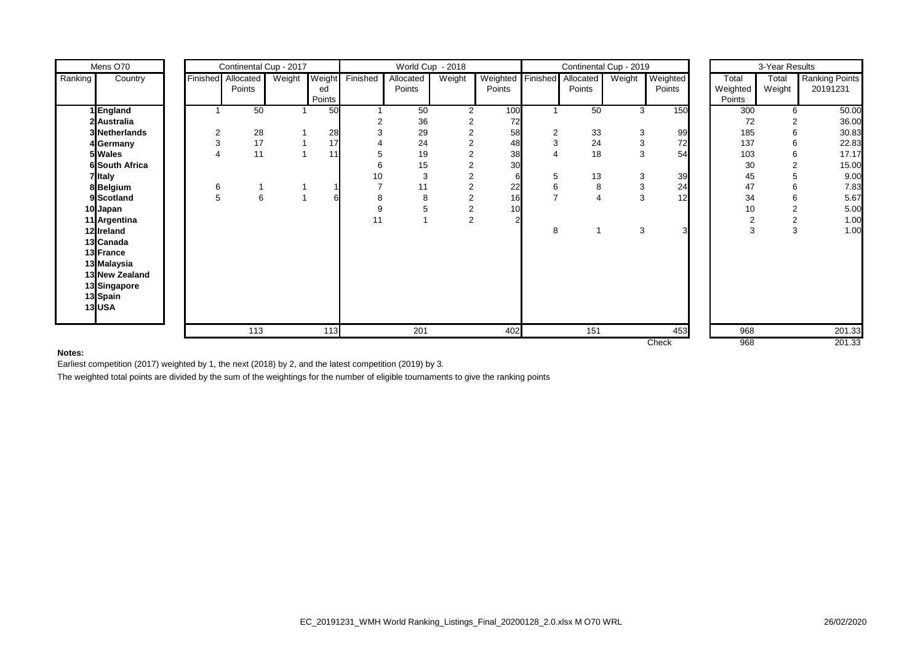| Mens O70                                                                                                   |          | Continental Cup - 2017 |        |                               |                      |                     | World Cup - 2018                          |                             |                     | Continental Cup - 2019 |        |                    |                             | 3-Year Results                   |                                   |
|------------------------------------------------------------------------------------------------------------|----------|------------------------|--------|-------------------------------|----------------------|---------------------|-------------------------------------------|-----------------------------|---------------------|------------------------|--------|--------------------|-----------------------------|----------------------------------|-----------------------------------|
| Ranking<br>Country                                                                                         | Finished | Allocated<br>Points    | Weight | <b>Weight</b><br>ed<br>Points | Finished             | Allocated<br>Points | Weight                                    | Weighted Finished<br>Points |                     | Allocated<br>Points    | Weight | Weighted<br>Points | Total<br>Weighted<br>Points | Total<br>Weight                  | <b>Ranking Points</b><br>20191231 |
| l England<br>2 Australia                                                                                   |          | 50                     |        | 50                            | $\overline{2}$       | 50<br>36            | $\overline{2}$<br>2                       | 100<br>72                   | 1                   | 50                     | 3      | 150                | 300<br>72                   | 6<br>$\overline{2}$              | 50.00<br>36.00                    |
| 3 Netherlands<br>4 Germany                                                                                 | 2<br>3   | 28<br>17               |        | 28<br>17                      | 3                    | 29<br>24            | $\overline{\mathbf{c}}$<br>$\overline{2}$ | 58<br>48                    | 2<br>3              | 33<br>24               | 3<br>3 | 99<br>72           | 185<br>137                  | 6<br>6                           | 30.83<br>22.83                    |
| 5 Wales<br><b>6</b> South Africa                                                                           |          | 11                     |        | 11                            | 5<br>6               | 19<br>15            | $\overline{\mathbf{c}}$<br>$\sqrt{2}$     | 38<br>30                    | 4                   | 18                     | 3      | 54                 | 103<br>30                   | 6<br>$\overline{2}$              | 17.17<br>15.00                    |
| 7 Italy                                                                                                    |          |                        |        |                               | 10<br>$\overline{7}$ | 3                   | 2                                         | 6                           | 5                   | 13                     | 3      | 39                 | 45                          | 5                                | 9.00                              |
| 8Belgium<br>9 Scotland                                                                                     | 6<br>5   | 6                      |        |                               | 8                    | 11<br>8             | $\overline{2}$<br>$\overline{2}$          | 22<br>16                    | 6<br>$\overline{7}$ | 8<br>4                 | 3<br>3 | 24<br>12           | 47<br>34                    | 6<br>6                           | 7.83<br>5.67                      |
| 10 Japan<br>11 Argentina                                                                                   |          |                        |        |                               | 9<br>11              | 5                   | $\sqrt{2}$<br>$\overline{2}$              | 10                          |                     |                        |        |                    | 10<br>$\sqrt{2}$            | $\overline{2}$<br>$\overline{2}$ | 5.00<br>1.00                      |
| 12 Ireland<br>13 Canada<br>13 France<br>13 Malaysia<br>13 New Zealand<br>13 Singapore<br>13 Spain<br>13USA |          |                        |        |                               |                      |                     |                                           |                             | 8                   | $\mathbf 1$            | 3      | 31                 | 3                           | 3                                | 1.00                              |
|                                                                                                            |          | 113                    |        | $113$                         |                      | 201                 |                                           | 402                         |                     | 151                    |        | 453                | 968                         |                                  | 201.33                            |
|                                                                                                            |          |                        |        |                               |                      |                     |                                           |                             |                     |                        |        | Check              | 968                         |                                  | 201.33                            |

Earliest competition (2017) weighted by 1, the next (2018) by 2, and the latest competition (2019) by 3.